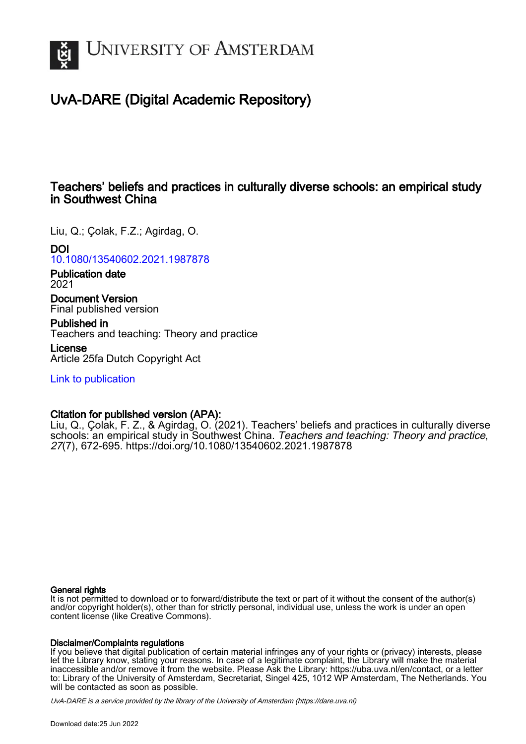

# UvA-DARE (Digital Academic Repository)

# Teachers' beliefs and practices in culturally diverse schools: an empirical study in Southwest China

Liu, Q.; Çolak, F.Z.; Agirdag, O.

# DOI

[10.1080/13540602.2021.1987878](https://doi.org/10.1080/13540602.2021.1987878)

Publication date 2021

Document Version Final published version

Published in Teachers and teaching: Theory and practice

License Article 25fa Dutch Copyright Act

[Link to publication](https://dare.uva.nl/personal/pure/en/publications/teachers-beliefs-and-practices-in-culturally-diverse-schools-an-empirical-study-in-southwest-china(ee2517f1-900e-4cce-81da-99f8daa4463f).html)

# Citation for published version (APA):

Liu, Q., Çolak, F. Z., & Agirdag, O. (2021). Teachers' beliefs and practices in culturally diverse schools: an empirical study in Southwest China. Teachers and teaching: Theory and practice, 27(7), 672-695.<https://doi.org/10.1080/13540602.2021.1987878>

# General rights

It is not permitted to download or to forward/distribute the text or part of it without the consent of the author(s) and/or copyright holder(s), other than for strictly personal, individual use, unless the work is under an open content license (like Creative Commons).

# Disclaimer/Complaints regulations

If you believe that digital publication of certain material infringes any of your rights or (privacy) interests, please let the Library know, stating your reasons. In case of a legitimate complaint, the Library will make the material inaccessible and/or remove it from the website. Please Ask the Library: https://uba.uva.nl/en/contact, or a letter to: Library of the University of Amsterdam, Secretariat, Singel 425, 1012 WP Amsterdam, The Netherlands. You will be contacted as soon as possible.

UvA-DARE is a service provided by the library of the University of Amsterdam (http*s*://dare.uva.nl)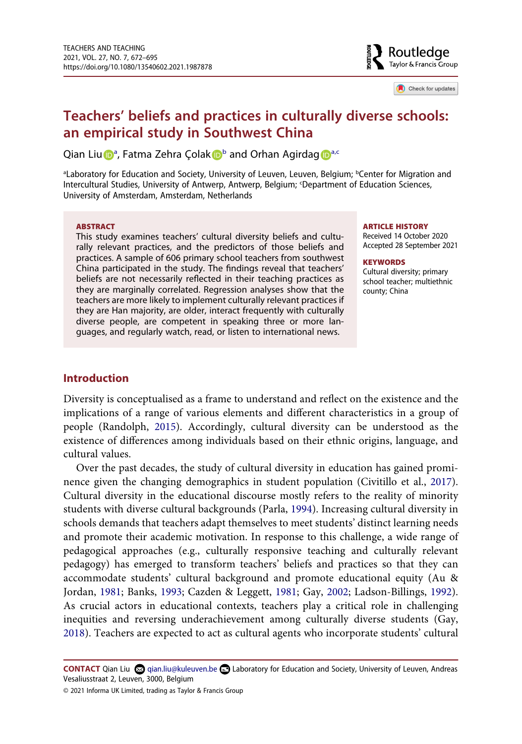

Check for updates

# **Teachers' beliefs and practices in culturally diverse schools: an empirical study in Southwest China**

Qi[a](#page-1-0)n Liu D<sup>a</sup>, Fatma Zehra Çola[k](http://orcid.org/0000-0001-6806-0745) D<sup>[b](#page-1-0)</sup> and Orhan A[g](http://orcid.org/0000-0002-5508-1501)irdag D<sup>a[,c](#page-1-1)</sup>

<span id="page-1-1"></span><span id="page-1-0"></span>aLaboratory for Education and Society, University of Leuven, Leuven, Belgium; <sup>b</sup>Center for Migration and Intercultural Studies, University of Antwerp, Antwerp, Belgium; 'Department of Education Sciences, University of Amsterdam, Amsterdam, Netherlands

#### **ABSTRACT**

This study examines teachers' cultural diversity beliefs and culturally relevant practices, and the predictors of those beliefs and practices. A sample of 606 primary school teachers from southwest China participated in the study. The findings reveal that teachers' beliefs are not necessarily reflected in their teaching practices as they are marginally correlated. Regression analyses show that the teachers are more likely to implement culturally relevant practices if they are Han majority, are older, interact frequently with culturally diverse people, are competent in speaking three or more languages, and regularly watch, read, or listen to international news.

#### **ARTICLE HISTORY**

Received 14 October 2020 Accepted 28 September 2021

#### **KEYWORDS**

Cultural diversity; primary school teacher; multiethnic county; China

# **Introduction**

<span id="page-1-6"></span>Diversity is conceptualised as a frame to understand and reflect on the existence and the implications of a range of various elements and different characteristics in a group of people (Randolph, [2015](#page-23-0)). Accordingly, cultural diversity can be understood as the existence of differences among individuals based on their ethnic origins, language, and cultural values.

<span id="page-1-5"></span><span id="page-1-3"></span>Over the past decades, the study of cultural diversity in education has gained prominence given the changing demographics in student population (Civitillo et al., [2017](#page-20-0)). Cultural diversity in the educational discourse mostly refers to the reality of minority students with diverse cultural backgrounds (Parla, [1994](#page-23-1)). Increasing cultural diversity in schools demands that teachers adapt themselves to meet students' distinct learning needs and promote their academic motivation. In response to this challenge, a wide range of pedagogical approaches (e.g., culturally responsive teaching and culturally relevant pedagogy) has emerged to transform teachers' beliefs and practices so that they can accommodate students' cultural background and promote educational equity (Au & Jordan, [1981;](#page-19-0) Banks, [1993;](#page-19-1) Cazden & Leggett, [1981;](#page-20-1) Gay, [2002](#page-21-0); Ladson-Billings, [1992](#page-22-0)). As crucial actors in educational contexts, teachers play a critical role in challenging inequities and reversing underachievement among culturally diverse students (Gay, [2018](#page-21-1)). Teachers are expected to act as cultural agents who incorporate students' cultural

<span id="page-1-4"></span><span id="page-1-2"></span>**CONTACT** Qian Liu  $\otimes$  qian.liu@kuleuven.be **Laboratory for Education and Society, University of Leuven, Andreas** Vesaliusstraat 2, Leuven, 3000, Belgium

<sup>© 2021</sup> Informa UK Limited, trading as Taylor & Francis Group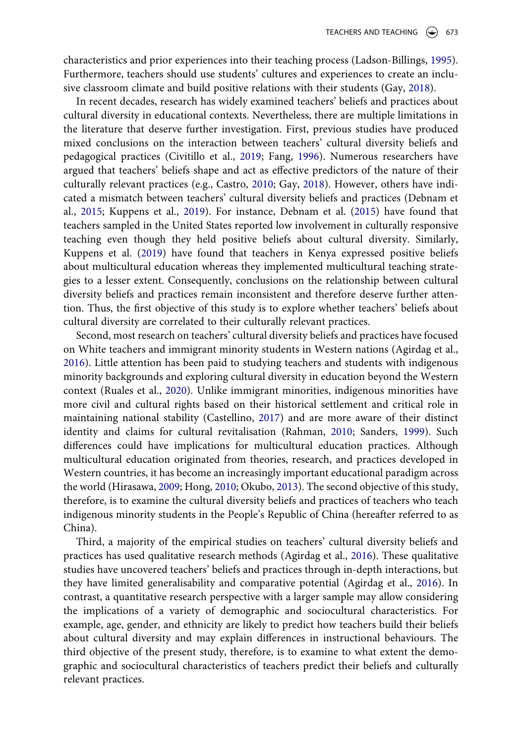<span id="page-2-7"></span>characteristics and prior experiences into their teaching process (Ladson-Billings, [1995](#page-22-1)). Furthermore, teachers should use students' cultures and experiences to create an inclusive classroom climate and build positive relations with their students (Gay, [2018](#page-21-1)).

<span id="page-2-4"></span><span id="page-2-3"></span><span id="page-2-2"></span>In recent decades, research has widely examined teachers' beliefs and practices about cultural diversity in educational contexts. Nevertheless, there are multiple limitations in the literature that deserve further investigation. First, previous studies have produced mixed conclusions on the interaction between teachers' cultural diversity beliefs and pedagogical practices (Civitillo et al., [2019;](#page-20-2) Fang, [1996\)](#page-20-3). Numerous researchers have argued that teachers' beliefs shape and act as effective predictors of the nature of their culturally relevant practices (e.g., Castro, [2010](#page-20-4); Gay, [2018\)](#page-21-1). However, others have indicated a mismatch between teachers' cultural diversity beliefs and practices (Debnam et al., [2015](#page-20-5); Kuppens et al., [2019\)](#page-22-2). For instance, Debnam et al. [\(2015](#page-20-5)) have found that teachers sampled in the United States reported low involvement in culturally responsive teaching even though they held positive beliefs about cultural diversity. Similarly, Kuppens et al. [\(2019\)](#page-22-2) have found that teachers in Kenya expressed positive beliefs about multicultural education whereas they implemented multicultural teaching strategies to a lesser extent. Consequently, conclusions on the relationship between cultural diversity beliefs and practices remain inconsistent and therefore deserve further attention. Thus, the first objective of this study is to explore whether teachers' beliefs about cultural diversity are correlated to their culturally relevant practices.

<span id="page-2-9"></span><span id="page-2-8"></span><span id="page-2-6"></span><span id="page-2-1"></span>Second, most research on teachers' cultural diversity beliefs and practices have focused on White teachers and immigrant minority students in Western nations (Agirdag et al., [2016](#page-19-2)). Little attention has been paid to studying teachers and students with indigenous minority backgrounds and exploring cultural diversity in education beyond the Western context (Ruales et al., [2020\)](#page-23-2). Unlike immigrant minorities, indigenous minorities have more civil and cultural rights based on their historical settlement and critical role in maintaining national stability (Castellino, [2017\)](#page-20-6) and are more aware of their distinct identity and claims for cultural revitalisation (Rahman, [2010](#page-23-3); Sanders, [1999](#page-23-4)). Such differences could have implications for multicultural education practices. Although multicultural education originated from theories, research, and practices developed in Western countries, it has become an increasingly important educational paradigm across the world (Hirasawa, [2009;](#page-21-2) Hong, [2010](#page-21-3); Okubo, [2013\)](#page-22-3). The second objective of this study, therefore, is to examine the cultural diversity beliefs and practices of teachers who teach indigenous minority students in the People's Republic of China (hereafter referred to as China).

<span id="page-2-5"></span><span id="page-2-0"></span>Third, a majority of the empirical studies on teachers' cultural diversity beliefs and practices has used qualitative research methods (Agirdag et al., [2016\)](#page-19-2). These qualitative studies have uncovered teachers' beliefs and practices through in-depth interactions, but they have limited generalisability and comparative potential (Agirdag et al., [2016\)](#page-19-2). In contrast, a quantitative research perspective with a larger sample may allow considering the implications of a variety of demographic and sociocultural characteristics. For example, age, gender, and ethnicity are likely to predict how teachers build their beliefs about cultural diversity and may explain differences in instructional behaviours. The third objective of the present study, therefore, is to examine to what extent the demographic and sociocultural characteristics of teachers predict their beliefs and culturally relevant practices.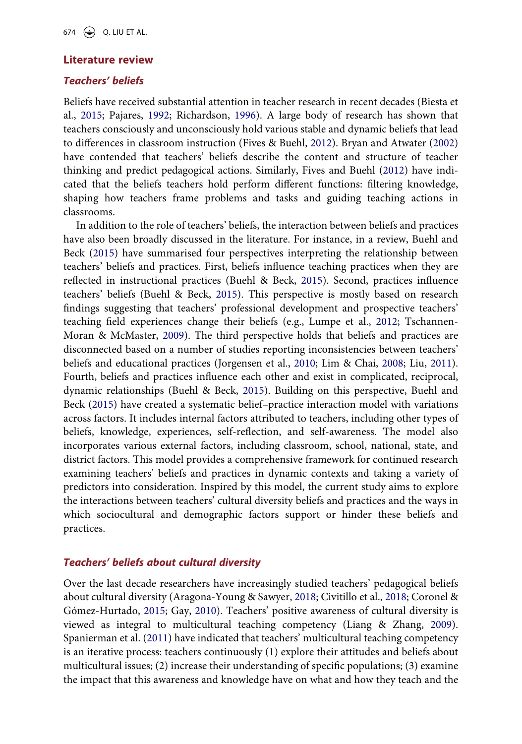### **Literature review**

# *Teachers' beliefs*

<span id="page-3-2"></span><span id="page-3-1"></span>Beliefs have received substantial attention in teacher research in recent decades (Biesta et al., [2015](#page-19-3); Pajares, [1992](#page-22-4); Richardson, [1996\)](#page-23-5). A large body of research has shown that teachers consciously and unconsciously hold various stable and dynamic beliefs that lead to differences in classroom instruction (Fives & Buehl, [2012\)](#page-21-4). Bryan and Atwater [\(2002\)](#page-19-4) have contended that teachers' beliefs describe the content and structure of teacher thinking and predict pedagogical actions. Similarly, Fives and Buehl [\(2012](#page-21-4)) have indicated that the beliefs teachers hold perform different functions: filtering knowledge, shaping how teachers frame problems and tasks and guiding teaching actions in classrooms.

<span id="page-3-10"></span><span id="page-3-8"></span><span id="page-3-6"></span><span id="page-3-5"></span>In addition to the role of teachers' beliefs, the interaction between beliefs and practices have also been broadly discussed in the literature. For instance, in a review, Buehl and Beck ([2015](#page-19-5)) have summarised four perspectives interpreting the relationship between teachers' beliefs and practices. First, beliefs influence teaching practices when they are reflected in instructional practices (Buehl & Beck, [2015\)](#page-19-5). Second, practices influence teachers' beliefs (Buehl & Beck, [2015](#page-19-5)). This perspective is mostly based on research findings suggesting that teachers' professional development and prospective teachers' teaching field experiences change their beliefs (e.g., Lumpe et al., [2012;](#page-22-5) Tschannen-Moran & McMaster, [2009](#page-24-0)). The third perspective holds that beliefs and practices are disconnected based on a number of studies reporting inconsistencies between teachers' beliefs and educational practices (Jorgensen et al., [2010](#page-21-5); Lim & Chai, [2008](#page-22-6); Liu, [2011](#page-22-7)). Fourth, beliefs and practices influence each other and exist in complicated, reciprocal, dynamic relationships (Buehl & Beck, [2015\)](#page-19-5). Building on this perspective, Buehl and Beck [\(2015](#page-19-5)) have created a systematic belief–practice interaction model with variations across factors. It includes internal factors attributed to teachers, including other types of beliefs, knowledge, experiences, self-reflection, and self-awareness. The model also incorporates various external factors, including classroom, school, national, state, and district factors. This model provides a comprehensive framework for continued research examining teachers' beliefs and practices in dynamic contexts and taking a variety of predictors into consideration. Inspired by this model, the current study aims to explore the interactions between teachers' cultural diversity beliefs and practices and the ways in which sociocultural and demographic factors support or hinder these beliefs and practices.

# <span id="page-3-3"></span>*Teachers' beliefs about cultural diversity*

<span id="page-3-9"></span><span id="page-3-7"></span><span id="page-3-4"></span><span id="page-3-0"></span>Over the last decade researchers have increasingly studied teachers' pedagogical beliefs about cultural diversity (Aragona-Young & Sawyer, [2018;](#page-19-6) Civitillo et al., [2018](#page-20-7); Coronel & Gómez-Hurtado, [2015](#page-20-8); Gay, [2010\)](#page-21-6). Teachers' positive awareness of cultural diversity is viewed as integral to multicultural teaching competency (Liang & Zhang, [2009](#page-22-8)). Spanierman et al. ([2011\)](#page-23-6) have indicated that teachers' multicultural teaching competency is an iterative process: teachers continuously (1) explore their attitudes and beliefs about multicultural issues; (2) increase their understanding of specific populations; (3) examine the impact that this awareness and knowledge have on what and how they teach and the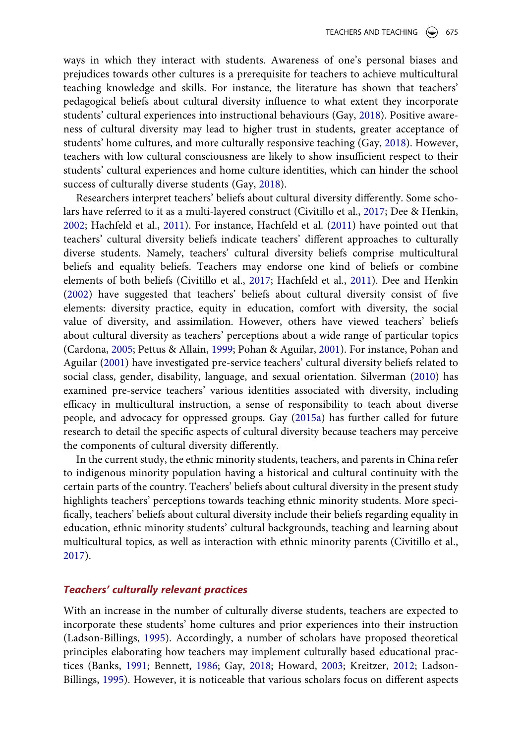ways in which they interact with students. Awareness of one's personal biases and prejudices towards other cultures is a prerequisite for teachers to achieve multicultural teaching knowledge and skills. For instance, the literature has shown that teachers' pedagogical beliefs about cultural diversity influence to what extent they incorporate students' cultural experiences into instructional behaviours (Gay, [2018\)](#page-21-1). Positive awareness of cultural diversity may lead to higher trust in students, greater acceptance of students' home cultures, and more culturally responsive teaching (Gay, [2018\)](#page-21-1). However, teachers with low cultural consciousness are likely to show insufficient respect to their students' cultural experiences and home culture identities, which can hinder the school success of culturally diverse students (Gay, [2018](#page-21-1)).

<span id="page-4-4"></span><span id="page-4-2"></span>Researchers interpret teachers' beliefs about cultural diversity differently. Some scholars have referred to it as a multi-layered construct (Civitillo et al., [2017;](#page-20-0) Dee & Henkin, [2002](#page-20-9); Hachfeld et al., [2011\)](#page-21-7). For instance, Hachfeld et al. ([2011\)](#page-21-7) have pointed out that teachers' cultural diversity beliefs indicate teachers' different approaches to culturally diverse students. Namely, teachers' cultural diversity beliefs comprise multicultural beliefs and equality beliefs. Teachers may endorse one kind of beliefs or combine elements of both beliefs (Civitillo et al., [2017;](#page-20-0) Hachfeld et al., [2011](#page-21-7)). Dee and Henkin ([2002\)](#page-20-9) have suggested that teachers' beliefs about cultural diversity consist of five elements: diversity practice, equity in education, comfort with diversity, the social value of diversity, and assimilation. However, others have viewed teachers' beliefs about cultural diversity as teachers' perceptions about a wide range of particular topics (Cardona, [2005;](#page-20-10) Pettus & Allain, [1999](#page-23-7); Pohan & Aguilar, [2001\)](#page-23-8). For instance, Pohan and Aguilar [\(2001](#page-23-8)) have investigated pre-service teachers' cultural diversity beliefs related to social class, gender, disability, language, and sexual orientation. Silverman [\(2010](#page-23-9)) has examined pre-service teachers' various identities associated with diversity, including efficacy in multicultural instruction, a sense of responsibility to teach about diverse people, and advocacy for oppressed groups. Gay ([2015a\)](#page-21-8) has further called for future research to detail the specific aspects of cultural diversity because teachers may perceive the components of cultural diversity differently.

<span id="page-4-6"></span><span id="page-4-5"></span><span id="page-4-3"></span><span id="page-4-1"></span>In the current study, the ethnic minority students, teachers, and parents in China refer to indigenous minority population having a historical and cultural continuity with the certain parts of the country. Teachers' beliefs about cultural diversity in the present study highlights teachers' perceptions towards teaching ethnic minority students. More specifically, teachers' beliefs about cultural diversity include their beliefs regarding equality in education, ethnic minority students' cultural backgrounds, teaching and learning about multicultural topics, as well as interaction with ethnic minority parents (Civitillo et al., [2017](#page-20-0)).

# *Teachers' culturally relevant practices*

<span id="page-4-0"></span>With an increase in the number of culturally diverse students, teachers are expected to incorporate these students' home cultures and prior experiences into their instruction (Ladson-Billings, [1995](#page-22-1)). Accordingly, a number of scholars have proposed theoretical principles elaborating how teachers may implement culturally based educational practices (Banks, [1991](#page-19-7); Bennett, [1986;](#page-19-8) Gay, [2018](#page-21-1); Howard, [2003](#page-21-9); Kreitzer, [2012](#page-22-9); Ladson-Billings, [1995](#page-22-1)). However, it is noticeable that various scholars focus on different aspects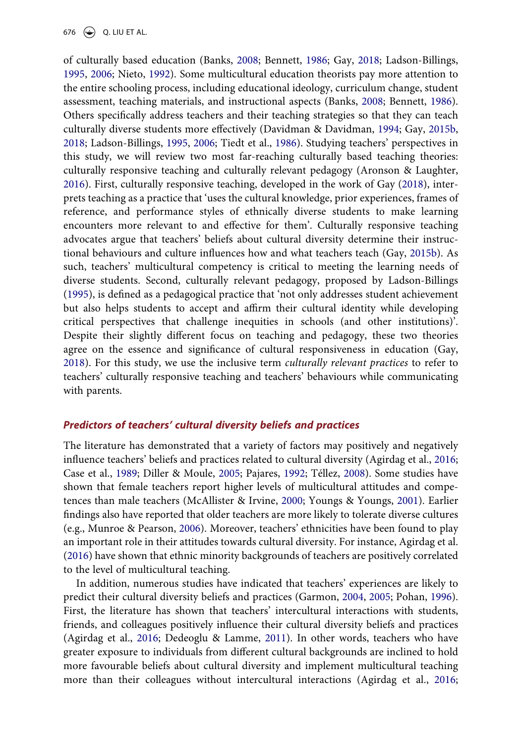<span id="page-5-10"></span><span id="page-5-7"></span><span id="page-5-3"></span><span id="page-5-1"></span><span id="page-5-0"></span>of culturally based education (Banks, [2008](#page-19-9); Bennett, [1986](#page-19-8); Gay, [2018;](#page-21-1) Ladson-Billings, [1995](#page-22-1), [2006;](#page-22-10) Nieto, [1992\)](#page-22-11). Some multicultural education theorists pay more attention to the entire schooling process, including educational ideology, curriculum change, student assessment, teaching materials, and instructional aspects (Banks, [2008](#page-19-9); Bennett, [1986](#page-19-8)). Others specifically address teachers and their teaching strategies so that they can teach culturally diverse students more effectively (Davidman & Davidman, [1994](#page-20-11); Gay, [2015b,](#page-21-10) [2018](#page-21-1); Ladson-Billings, [1995](#page-22-1), [2006](#page-22-10); Tiedt et al., [1986](#page-24-1)). Studying teachers' perspectives in this study, we will review two most far-reaching culturally based teaching theories: culturally responsive teaching and culturally relevant pedagogy (Aronson & Laughter, [2016](#page-19-10)). First, culturally responsive teaching, developed in the work of Gay [\(2018](#page-21-1)), interprets teaching as a practice that 'uses the cultural knowledge, prior experiences, frames of reference, and performance styles of ethnically diverse students to make learning encounters more relevant to and effective for them'. Culturally responsive teaching advocates argue that teachers' beliefs about cultural diversity determine their instructional behaviours and culture influences how and what teachers teach (Gay, [2015b\)](#page-21-10). As such, teachers' multicultural competency is critical to meeting the learning needs of diverse students. Second, culturally relevant pedagogy, proposed by Ladson-Billings ([1995\)](#page-22-1), is defined as a pedagogical practice that 'not only addresses student achievement but also helps students to accept and affirm their cultural identity while developing critical perspectives that challenge inequities in schools (and other institutions)'. Despite their slightly different focus on teaching and pedagogy, these two theories agree on the essence and significance of cultural responsiveness in education (Gay, [2018](#page-21-1)). For this study, we use the inclusive term *culturally relevant practices* to refer to teachers' culturally responsive teaching and teachers' behaviours while communicating with parents.

# <span id="page-5-6"></span>*Predictors of teachers' cultural diversity beliefs and practices*

<span id="page-5-8"></span><span id="page-5-2"></span>The literature has demonstrated that a variety of factors may positively and negatively influence teachers' beliefs and practices related to cultural diversity (Agirdag et al., [2016;](#page-19-2) Case et al., [1989;](#page-20-12) Diller & Moule, [2005;](#page-20-13) Pajares, [1992](#page-22-4); Téllez, [2008](#page-23-10)). Some studies have shown that female teachers report higher levels of multicultural attitudes and competences than male teachers (McAllister & Irvine, [2000](#page-22-12); Youngs & Youngs, [2001\)](#page-24-2). Earlier findings also have reported that older teachers are more likely to tolerate diverse cultures (e.g., Munroe & Pearson, [2006\)](#page-22-13). Moreover, teachers' ethnicities have been found to play an important role in their attitudes towards cultural diversity. For instance, Agirdag et al. ([2016\)](#page-19-2) have shown that ethnic minority backgrounds of teachers are positively correlated to the level of multicultural teaching.

<span id="page-5-9"></span><span id="page-5-5"></span><span id="page-5-4"></span>In addition, numerous studies have indicated that teachers' experiences are likely to predict their cultural diversity beliefs and practices (Garmon, [2004,](#page-21-11) [2005](#page-21-12); Pohan, [1996](#page-23-11)). First, the literature has shown that teachers' intercultural interactions with students, friends, and colleagues positively influence their cultural diversity beliefs and practices (Agirdag et al., [2016;](#page-19-2) Dedeoglu & Lamme, [2011\)](#page-20-14). In other words, teachers who have greater exposure to individuals from different cultural backgrounds are inclined to hold more favourable beliefs about cultural diversity and implement multicultural teaching more than their colleagues without intercultural interactions (Agirdag et al., [2016;](#page-19-2)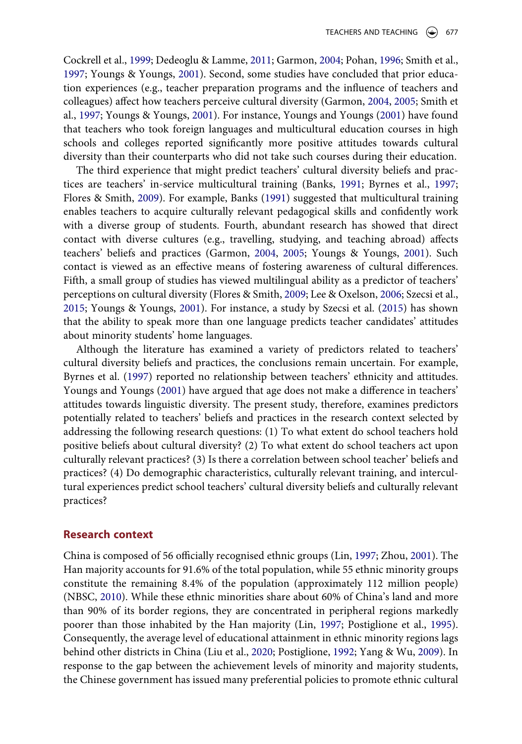<span id="page-6-6"></span><span id="page-6-1"></span>Cockrell et al., [1999;](#page-20-15) Dedeoglu & Lamme, [2011;](#page-20-14) Garmon, [2004](#page-21-11); Pohan, [1996;](#page-23-11) Smith et al., [1997](#page-23-12); Youngs & Youngs, [2001\)](#page-24-2). Second, some studies have concluded that prior education experiences (e.g., teacher preparation programs and the influence of teachers and colleagues) affect how teachers perceive cultural diversity (Garmon, [2004,](#page-21-11) [2005;](#page-21-12) Smith et al., [1997;](#page-23-12) Youngs & Youngs, [2001\)](#page-24-2). For instance, Youngs and Youngs [\(2001\)](#page-24-2) have found that teachers who took foreign languages and multicultural education courses in high schools and colleges reported significantly more positive attitudes towards cultural diversity than their counterparts who did not take such courses during their education.

The third experience that might predict teachers' cultural diversity beliefs and practices are teachers' in-service multicultural training (Banks, [1991;](#page-19-7) Byrnes et al., [1997;](#page-19-11) Flores & Smith, [2009](#page-21-13)). For example, Banks [\(1991\)](#page-19-7) suggested that multicultural training enables teachers to acquire culturally relevant pedagogical skills and confidently work with a diverse group of students. Fourth, abundant research has showed that direct contact with diverse cultures (e.g., travelling, studying, and teaching abroad) affects teachers' beliefs and practices (Garmon, [2004,](#page-21-11) [2005;](#page-21-12) Youngs & Youngs, [2001](#page-24-2)). Such contact is viewed as an effective means of fostering awareness of cultural differences. Fifth, a small group of studies has viewed multilingual ability as a predictor of teachers' perceptions on cultural diversity (Flores & Smith, [2009](#page-21-13); Lee & Oxelson, [2006;](#page-22-14) Szecsi et al., [2015](#page-23-13); Youngs & Youngs, [2001\)](#page-24-2). For instance, a study by Szecsi et al. [\(2015](#page-23-13)) has shown that the ability to speak more than one language predicts teacher candidates' attitudes about minority students' home languages.

<span id="page-6-7"></span><span id="page-6-2"></span><span id="page-6-0"></span>Although the literature has examined a variety of predictors related to teachers' cultural diversity beliefs and practices, the conclusions remain uncertain. For example, Byrnes et al. [\(1997](#page-19-11)) reported no relationship between teachers' ethnicity and attitudes. Youngs and Youngs ([2001](#page-24-2)) have argued that age does not make a difference in teachers' attitudes towards linguistic diversity. The present study, therefore, examines predictors potentially related to teachers' beliefs and practices in the research context selected by addressing the following research questions: (1) To what extent do school teachers hold positive beliefs about cultural diversity? (2) To what extent do school teachers act upon culturally relevant practices? (3) Is there a correlation between school teacher' beliefs and practices? (4) Do demographic characteristics, culturally relevant training, and intercultural experiences predict school teachers' cultural diversity beliefs and culturally relevant practices?

#### **Research context**

<span id="page-6-8"></span><span id="page-6-5"></span><span id="page-6-4"></span><span id="page-6-3"></span>China is composed of 56 officially recognised ethnic groups (Lin, [1997](#page-22-15); Zhou, [2001](#page-24-3)). The Han majority accounts for 91.6% of the total population, while 55 ethnic minority groups constitute the remaining 8.4% of the population (approximately 112 million people) (NBSC, [2010\)](#page-22-16). While these ethnic minorities share about 60% of China's land and more than 90% of its border regions, they are concentrated in peripheral regions markedly poorer than those inhabited by the Han majority (Lin, [1997;](#page-22-15) Postiglione et al., [1995](#page-23-14)). Consequently, the average level of educational attainment in ethnic minority regions lags behind other districts in China (Liu et al., [2020;](#page-22-17) Postiglione, [1992;](#page-23-15) Yang & Wu, [2009](#page-24-4)). In response to the gap between the achievement levels of minority and majority students, the Chinese government has issued many preferential policies to promote ethnic cultural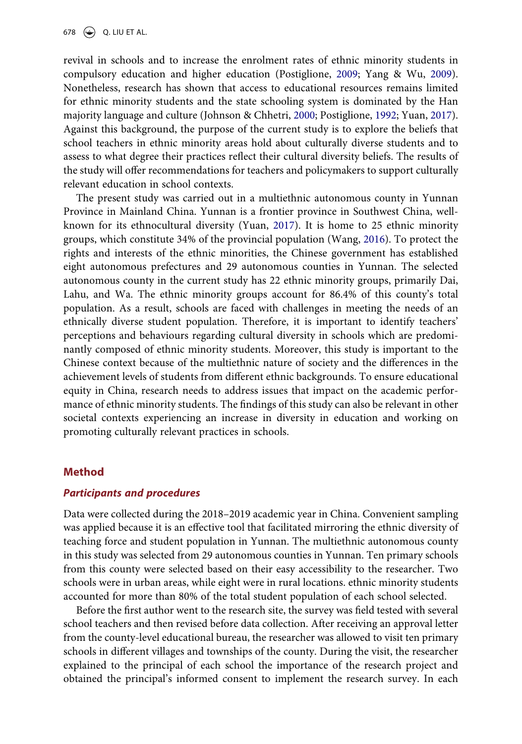<span id="page-7-1"></span><span id="page-7-0"></span>revival in schools and to increase the enrolment rates of ethnic minority students in compulsory education and higher education (Postiglione, [2009](#page-23-16); Yang & Wu, [2009](#page-24-4)). Nonetheless, research has shown that access to educational resources remains limited for ethnic minority students and the state schooling system is dominated by the Han majority language and culture (Johnson & Chhetri, [2000;](#page-21-14) Postiglione, [1992;](#page-23-15) Yuan, [2017](#page-24-5)). Against this background, the purpose of the current study is to explore the beliefs that school teachers in ethnic minority areas hold about culturally diverse students and to assess to what degree their practices reflect their cultural diversity beliefs. The results of the study will offer recommendations for teachers and policymakers to support culturally relevant education in school contexts.

<span id="page-7-3"></span><span id="page-7-2"></span>The present study was carried out in a multiethnic autonomous county in Yunnan Province in Mainland China. Yunnan is a frontier province in Southwest China, wellknown for its ethnocultural diversity (Yuan, [2017](#page-24-5)). It is home to 25 ethnic minority groups, which constitute 34% of the provincial population (Wang, [2016\)](#page-24-6). To protect the rights and interests of the ethnic minorities, the Chinese government has established eight autonomous prefectures and 29 autonomous counties in Yunnan. The selected autonomous county in the current study has 22 ethnic minority groups, primarily Dai, Lahu, and Wa. The ethnic minority groups account for 86.4% of this county's total population. As a result, schools are faced with challenges in meeting the needs of an ethnically diverse student population. Therefore, it is important to identify teachers' perceptions and behaviours regarding cultural diversity in schools which are predominantly composed of ethnic minority students. Moreover, this study is important to the Chinese context because of the multiethnic nature of society and the differences in the achievement levels of students from different ethnic backgrounds. To ensure educational equity in China, research needs to address issues that impact on the academic performance of ethnic minority students. The findings of this study can also be relevant in other societal contexts experiencing an increase in diversity in education and working on promoting culturally relevant practices in schools.

# **Method**

#### *Participants and procedures*

Data were collected during the 2018–2019 academic year in China. Convenient sampling was applied because it is an effective tool that facilitated mirroring the ethnic diversity of teaching force and student population in Yunnan. The multiethnic autonomous county in this study was selected from 29 autonomous counties in Yunnan. Ten primary schools from this county were selected based on their easy accessibility to the researcher. Two schools were in urban areas, while eight were in rural locations. ethnic minority students accounted for more than 80% of the total student population of each school selected.

Before the first author went to the research site, the survey was field tested with several school teachers and then revised before data collection. After receiving an approval letter from the county-level educational bureau, the researcher was allowed to visit ten primary schools in different villages and townships of the county. During the visit, the researcher explained to the principal of each school the importance of the research project and obtained the principal's informed consent to implement the research survey. In each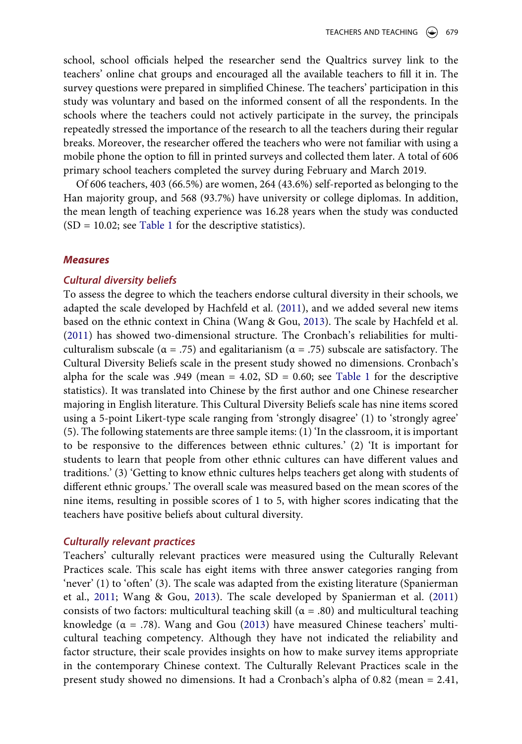school, school officials helped the researcher send the Qualtrics survey link to the teachers' online chat groups and encouraged all the available teachers to fill it in. The survey questions were prepared in simplified Chinese. The teachers' participation in this study was voluntary and based on the informed consent of all the respondents. In the schools where the teachers could not actively participate in the survey, the principals repeatedly stressed the importance of the research to all the teachers during their regular breaks. Moreover, the researcher offered the teachers who were not familiar with using a mobile phone the option to fill in printed surveys and collected them later. A total of 606 primary school teachers completed the survey during February and March 2019.

Of 606 teachers, 403 (66.5%) are women, 264 (43.6%) self-reported as belonging to the Han majority group, and 568 (93.7%) have university or college diplomas. In addition, the mean length of teaching experience was 16.28 years when the study was conducted  $(SD = 10.02;$  see [Table 1](#page-9-0) for the descriptive statistics).

#### *Measures*

#### *Cultural diversity beliefs*

To assess the degree to which the teachers endorse cultural diversity in their schools, we adapted the scale developed by Hachfeld et al. [\(2011](#page-21-7)), and we added several new items based on the ethnic context in China (Wang & Gou, [2013](#page-24-7)). The scale by Hachfeld et al. ([2011\)](#page-21-7) has showed two-dimensional structure. The Cronbach's reliabilities for multiculturalism subscale (α = .75) and egalitarianism (α = .75) subscale are satisfactory. The Cultural Diversity Beliefs scale in the present study showed no dimensions. Cronbach's alpha for the scale was .949 (mean =  $4.02$ , SD = 0.60; see [Table 1](#page-9-0) for the descriptive statistics). It was translated into Chinese by the first author and one Chinese researcher majoring in English literature. This Cultural Diversity Beliefs scale has nine items scored using a 5-point Likert-type scale ranging from 'strongly disagree' (1) to 'strongly agree' (5). The following statements are three sample items: (1) 'In the classroom, it is important to be responsive to the differences between ethnic cultures.' (2) 'It is important for students to learn that people from other ethnic cultures can have different values and traditions.' (3) 'Getting to know ethnic cultures helps teachers get along with students of different ethnic groups.' The overall scale was measured based on the mean scores of the nine items, resulting in possible scores of 1 to 5, with higher scores indicating that the teachers have positive beliefs about cultural diversity.

#### *Culturally relevant practices*

<span id="page-8-0"></span>Teachers' culturally relevant practices were measured using the Culturally Relevant Practices scale. This scale has eight items with three answer categories ranging from 'never' (1) to 'often' (3). The scale was adapted from the existing literature (Spanierman et al., [2011](#page-23-6); Wang & Gou, [2013](#page-24-7)). The scale developed by Spanierman et al. [\(2011\)](#page-23-6) consists of two factors: multicultural teaching skill ( $\alpha = .80$ ) and multicultural teaching knowledge ( $\alpha = .78$ ). Wang and Gou ([2013\)](#page-24-7) have measured Chinese teachers' multicultural teaching competency. Although they have not indicated the reliability and factor structure, their scale provides insights on how to make survey items appropriate in the contemporary Chinese context. The Culturally Relevant Practices scale in the present study showed no dimensions. It had a Cronbach's alpha of 0.82 (mean = 2.41,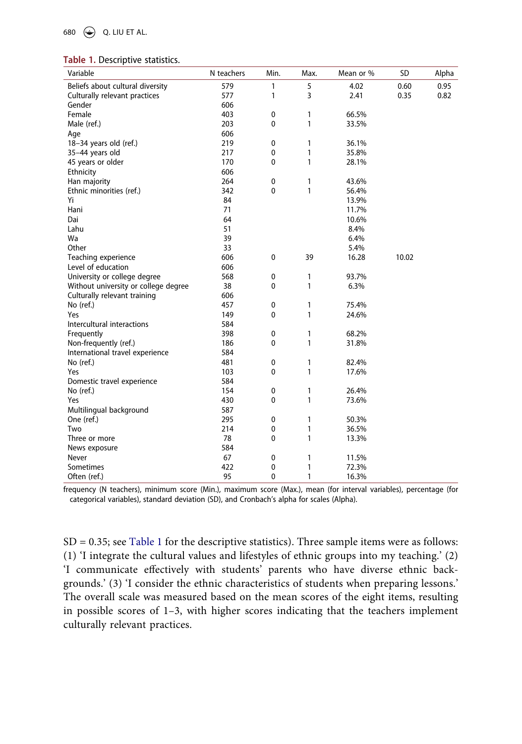680 Q. LIU ET AL.

<span id="page-9-0"></span>

|  |  | Table 1. Descriptive statistics. |  |
|--|--|----------------------------------|--|
|--|--|----------------------------------|--|

| Variable                             | N teachers | Min.         | Max.         | Mean or % | SD    | Alpha |
|--------------------------------------|------------|--------------|--------------|-----------|-------|-------|
| Beliefs about cultural diversity     | 579        | 1            | 5            | 4.02      | 0.60  | 0.95  |
| Culturally relevant practices        | 577        | $\mathbf{1}$ | 3            | 2.41      | 0.35  | 0.82  |
| Gender                               | 606        |              |              |           |       |       |
| Female                               | 403        | $\pmb{0}$    | 1            | 66.5%     |       |       |
| Male (ref.)                          | 203        | 0            | $\mathbf{1}$ | 33.5%     |       |       |
| Age                                  | 606        |              |              |           |       |       |
| 18-34 years old (ref.)               | 219        | $\pmb{0}$    | 1            | 36.1%     |       |       |
| 35-44 years old                      | 217        | 0            | 1            | 35.8%     |       |       |
| 45 years or older                    | 170        | 0            | $\mathbf{1}$ | 28.1%     |       |       |
| Ethnicity                            | 606        |              |              |           |       |       |
| Han majority                         | 264        | 0            | 1            | 43.6%     |       |       |
| Ethnic minorities (ref.)             | 342        | 0            | 1            | 56.4%     |       |       |
| Yi                                   | 84         |              |              | 13.9%     |       |       |
| Hani                                 | 71         |              |              | 11.7%     |       |       |
| Dai                                  | 64         |              |              | 10.6%     |       |       |
| Lahu                                 | 51         |              |              | 8.4%      |       |       |
| Wa                                   | 39         |              |              | 6.4%      |       |       |
| Other                                | 33         |              |              | 5.4%      |       |       |
| Teaching experience                  | 606        | $\pmb{0}$    | 39           | 16.28     | 10.02 |       |
| Level of education                   | 606        |              |              |           |       |       |
| University or college degree         | 568        | 0            | 1            | 93.7%     |       |       |
| Without university or college degree | 38         | $\mathbf 0$  | $\mathbf{1}$ | 6.3%      |       |       |
| Culturally relevant training         | 606        |              |              |           |       |       |
| No (ref.)                            | 457        | 0            | 1            | 75.4%     |       |       |
| Yes                                  | 149        | 0            | $\mathbf{1}$ | 24.6%     |       |       |
| Intercultural interactions           | 584        |              |              |           |       |       |
| Frequently                           | 398        | 0            | 1            | 68.2%     |       |       |
| Non-frequently (ref.)                | 186        | $\mathbf 0$  | 1            | 31.8%     |       |       |
| International travel experience      | 584        |              |              |           |       |       |
| No (ref.)                            | 481        | 0            | 1            | 82.4%     |       |       |
| Yes                                  | 103        | $\mathbf 0$  | $\mathbf{1}$ | 17.6%     |       |       |
| Domestic travel experience           | 584        |              |              |           |       |       |
| No (ref.)                            | 154        | 0            | 1            | 26.4%     |       |       |
| Yes                                  | 430        | $\mathbf{0}$ | $\mathbf{1}$ | 73.6%     |       |       |
| Multilingual background              | 587        |              |              |           |       |       |
| One (ref.)                           | 295        | 0            | 1            | 50.3%     |       |       |
| Two                                  | 214        | $\mathbf 0$  | $\mathbf{1}$ | 36.5%     |       |       |
| Three or more                        | 78         | $\mathbf 0$  | 1            | 13.3%     |       |       |
| News exposure                        | 584        |              |              |           |       |       |
| Never                                | 67         | $\pmb{0}$    | 1            | 11.5%     |       |       |
| Sometimes                            | 422        | $\pmb{0}$    | 1            | 72.3%     |       |       |
| Often (ref.)                         | 95         | 0            | 1            | 16.3%     |       |       |

frequency (N teachers), minimum score (Min.), maximum score (Max.), mean (for interval variables), percentage (for categorical variables), standard deviation (SD), and Cronbach's alpha for scales (Alpha).

SD = 0.35; see [Table 1](#page-9-0) for the descriptive statistics). Three sample items were as follows: (1) 'I integrate the cultural values and lifestyles of ethnic groups into my teaching.' (2) 'I communicate effectively with students' parents who have diverse ethnic backgrounds.' (3) 'I consider the ethnic characteristics of students when preparing lessons.' The overall scale was measured based on the mean scores of the eight items, resulting in possible scores of 1–3, with higher scores indicating that the teachers implement culturally relevant practices.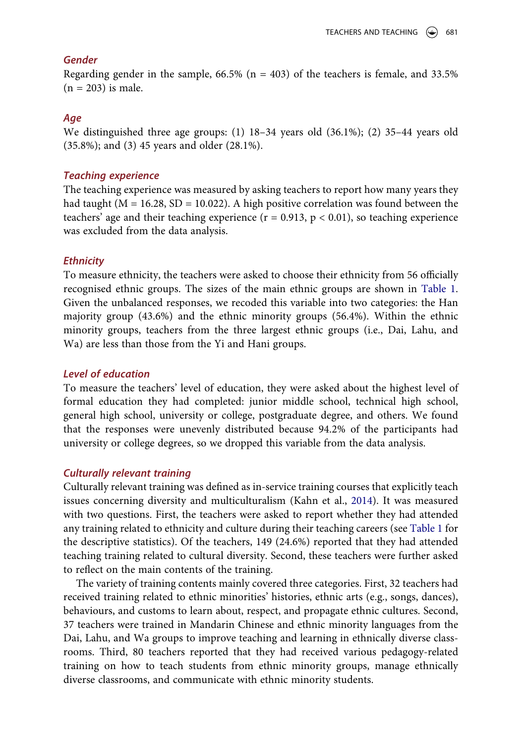# *Gender*

Regarding gender in the sample,  $66.5\%$  (n = 403) of the teachers is female, and 33.5%  $(n = 203)$  is male.

## *Age*

We distinguished three age groups: (1) 18–34 years old (36.1%); (2) 35–44 years old (35.8%); and (3) 45 years and older (28.1%).

### *Teaching experience*

The teaching experience was measured by asking teachers to report how many years they had taught ( $M = 16.28$ , SD = 10.022). A high positive correlation was found between the teachers' age and their teaching experience ( $r = 0.913$ ,  $p < 0.01$ ), so teaching experience was excluded from the data analysis.

#### *Ethnicity*

To measure ethnicity, the teachers were asked to choose their ethnicity from 56 officially recognised ethnic groups. The sizes of the main ethnic groups are shown in [Table 1.](#page-9-0) Given the unbalanced responses, we recoded this variable into two categories: the Han majority group (43.6%) and the ethnic minority groups (56.4%). Within the ethnic minority groups, teachers from the three largest ethnic groups (i.e., Dai, Lahu, and Wa) are less than those from the Yi and Hani groups.

#### *Level of education*

To measure the teachers' level of education, they were asked about the highest level of formal education they had completed: junior middle school, technical high school, general high school, university or college, postgraduate degree, and others. We found that the responses were unevenly distributed because 94.2% of the participants had university or college degrees, so we dropped this variable from the data analysis.

#### *Culturally relevant training*

<span id="page-10-0"></span>Culturally relevant training was defined as in-service training courses that explicitly teach issues concerning diversity and multiculturalism (Kahn et al., [2014](#page-21-15)). It was measured with two questions. First, the teachers were asked to report whether they had attended any training related to ethnicity and culture during their teaching careers (see [Table 1](#page-9-0) for the descriptive statistics). Of the teachers, 149 (24.6%) reported that they had attended teaching training related to cultural diversity. Second, these teachers were further asked to reflect on the main contents of the training.

The variety of training contents mainly covered three categories. First, 32 teachers had received training related to ethnic minorities' histories, ethnic arts (e.g., songs, dances), behaviours, and customs to learn about, respect, and propagate ethnic cultures. Second, 37 teachers were trained in Mandarin Chinese and ethnic minority languages from the Dai, Lahu, and Wa groups to improve teaching and learning in ethnically diverse classrooms. Third, 80 teachers reported that they had received various pedagogy-related training on how to teach students from ethnic minority groups, manage ethnically diverse classrooms, and communicate with ethnic minority students.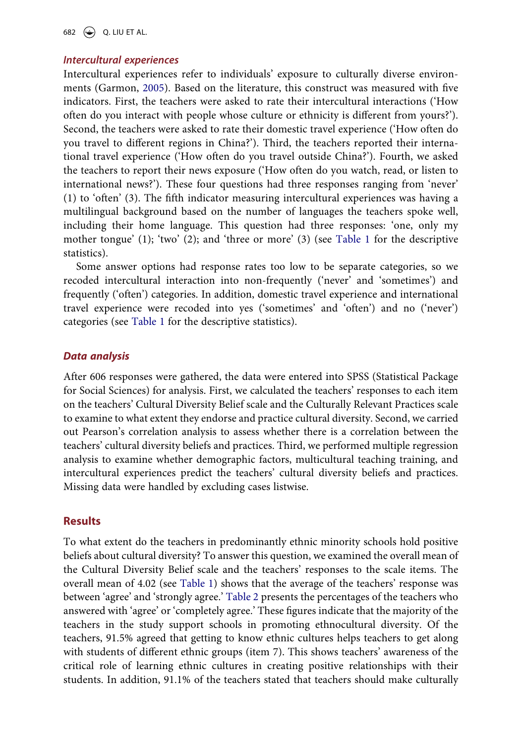682  $\bigodot$  Q. LIU ET AL.

# *Intercultural experiences*

Intercultural experiences refer to individuals' exposure to culturally diverse environments (Garmon, [2005](#page-21-12)). Based on the literature, this construct was measured with five indicators. First, the teachers were asked to rate their intercultural interactions ('How often do you interact with people whose culture or ethnicity is different from yours?'). Second, the teachers were asked to rate their domestic travel experience ('How often do you travel to different regions in China?'). Third, the teachers reported their international travel experience ('How often do you travel outside China?'). Fourth, we asked the teachers to report their news exposure ('How often do you watch, read, or listen to international news?'). These four questions had three responses ranging from 'never' (1) to 'often' (3). The fifth indicator measuring intercultural experiences was having a multilingual background based on the number of languages the teachers spoke well, including their home language. This question had three responses: 'one, only my mother tongue' (1); 'two' (2); and 'three or more' (3) (see [Table 1](#page-9-0) for the descriptive statistics).

Some answer options had response rates too low to be separate categories, so we recoded intercultural interaction into non-frequently ('never' and 'sometimes') and frequently ('often') categories. In addition, domestic travel experience and international travel experience were recoded into yes ('sometimes' and 'often') and no ('never') categories (see [Table 1](#page-9-0) for the descriptive statistics).

### *Data analysis*

After 606 responses were gathered, the data were entered into SPSS (Statistical Package for Social Sciences) for analysis. First, we calculated the teachers' responses to each item on the teachers' Cultural Diversity Belief scale and the Culturally Relevant Practices scale to examine to what extent they endorse and practice cultural diversity. Second, we carried out Pearson's correlation analysis to assess whether there is a correlation between the teachers' cultural diversity beliefs and practices. Third, we performed multiple regression analysis to examine whether demographic factors, multicultural teaching training, and intercultural experiences predict the teachers' cultural diversity beliefs and practices. Missing data were handled by excluding cases listwise.

# **Results**

To what extent do the teachers in predominantly ethnic minority schools hold positive beliefs about cultural diversity? To answer this question, we examined the overall mean of the Cultural Diversity Belief scale and the teachers' responses to the scale items. The overall mean of 4.02 (see [Table 1\)](#page-9-0) shows that the average of the teachers' response was between 'agree' and 'strongly agree.' [Table 2](#page-12-0) presents the percentages of the teachers who answered with 'agree' or 'completely agree.' These figures indicate that the majority of the teachers in the study support schools in promoting ethnocultural diversity. Of the teachers, 91.5% agreed that getting to know ethnic cultures helps teachers to get along with students of different ethnic groups (item 7). This shows teachers' awareness of the critical role of learning ethnic cultures in creating positive relationships with their students. In addition, 91.1% of the teachers stated that teachers should make culturally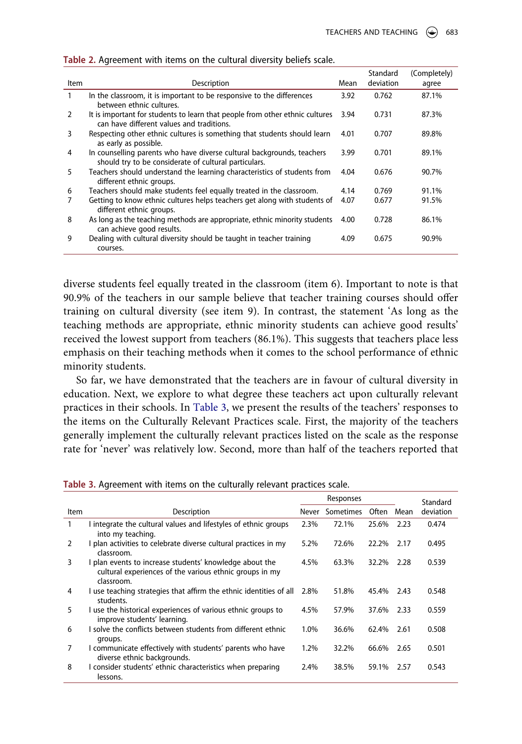|      |                                                                                                                                 |      | Standard  | (Completely) |
|------|---------------------------------------------------------------------------------------------------------------------------------|------|-----------|--------------|
| Item | Description                                                                                                                     | Mean | deviation | agree        |
| 1    | In the classroom, it is important to be responsive to the differences<br>between ethnic cultures.                               | 3.92 | 0.762     | 87.1%        |
| 2    | It is important for students to learn that people from other ethnic cultures<br>can have different values and traditions.       | 3.94 | 0.731     | 87.3%        |
| 3    | Respecting other ethnic cultures is something that students should learn<br>as early as possible.                               | 4.01 | 0.707     | 89.8%        |
| 4    | In counselling parents who have diverse cultural backgrounds, teachers<br>should try to be considerate of cultural particulars. | 3.99 | 0.701     | 89.1%        |
| 5    | Teachers should understand the learning characteristics of students from<br>different ethnic groups.                            | 4.04 | 0.676     | 90.7%        |
| 6    | Teachers should make students feel equally treated in the classroom.                                                            | 4.14 | 0.769     | 91.1%        |
| 7    | Getting to know ethnic cultures helps teachers get along with students of<br>different ethnic groups.                           | 4.07 | 0.677     | 91.5%        |
| 8    | As long as the teaching methods are appropriate, ethnic minority students<br>can achieve good results.                          | 4.00 | 0.728     | 86.1%        |
| 9    | Dealing with cultural diversity should be taught in teacher training<br>courses.                                                | 4.09 | 0.675     | 90.9%        |

<span id="page-12-0"></span>**Table 2.** Agreement with items on the cultural diversity beliefs scale.

diverse students feel equally treated in the classroom (item 6). Important to note is that 90.9% of the teachers in our sample believe that teacher training courses should offer training on cultural diversity (see item 9). In contrast, the statement 'As long as the teaching methods are appropriate, ethnic minority students can achieve good results' received the lowest support from teachers (86.1%). This suggests that teachers place less emphasis on their teaching methods when it comes to the school performance of ethnic minority students.

So far, we have demonstrated that the teachers are in favour of cultural diversity in education. Next, we explore to what degree these teachers act upon culturally relevant practices in their schools. In [Table 3,](#page-12-1) we present the results of the teachers' responses to the items on the Culturally Relevant Practices scale. First, the majority of the teachers generally implement the culturally relevant practices listed on the scale as the response rate for 'never' was relatively low. Second, more than half of the teachers reported that

|      |                                                                                                                                  | Responses |           |       | Standard |           |
|------|----------------------------------------------------------------------------------------------------------------------------------|-----------|-----------|-------|----------|-----------|
| Item | Description                                                                                                                      | Never     | Sometimes | Often | Mean     | deviation |
|      | I integrate the cultural values and lifestyles of ethnic groups<br>into my teaching.                                             | 2.3%      | 72.1%     | 25.6% | 2.23     | 0.474     |
| 2    | I plan activities to celebrate diverse cultural practices in my<br>classroom.                                                    | 5.2%      | 72.6%     | 22.2% | 2.17     | 0.495     |
| 3    | I plan events to increase students' knowledge about the<br>cultural experiences of the various ethnic groups in my<br>classroom. | 4.5%      | 63.3%     | 32.2% | 2.28     | 0.539     |
| 4    | I use teaching strategies that affirm the ethnic identities of all<br>students.                                                  | 2.8%      | 51.8%     | 45.4% | 2.43     | 0.548     |
| 5    | I use the historical experiences of various ethnic groups to<br>improve students' learning.                                      | 4.5%      | 57.9%     | 37.6% | 2.33     | 0.559     |
| 6    | I solve the conflicts between students from different ethnic<br>groups.                                                          | 1.0%      | 36.6%     | 62.4% | 2.61     | 0.508     |
| 7    | I communicate effectively with students' parents who have<br>diverse ethnic backgrounds.                                         | 1.2%      | 32.2%     | 66.6% | 2.65     | 0.501     |
| 8    | I consider students' ethnic characteristics when preparing<br>lessons.                                                           | 2.4%      | 38.5%     | 59.1% | 2.57     | 0.543     |

<span id="page-12-1"></span>**Table 3.** Agreement with items on the culturally relevant practices scale.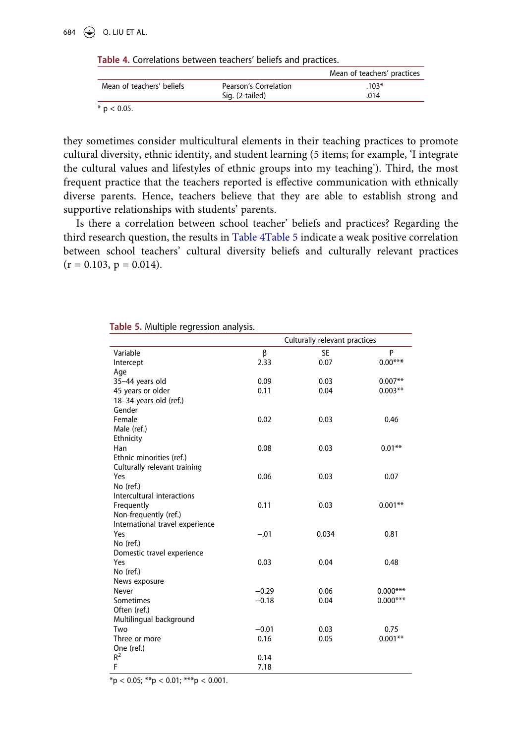# 684  $\bigodot$  Q. LIU ET AL.

<span id="page-13-0"></span>**Table 4.** Correlations between teachers' beliefs and practices.

|                           |                       | Mean of teachers' practices |
|---------------------------|-----------------------|-----------------------------|
| Mean of teachers' beliefs | Pearson's Correlation | $.103*$                     |
|                           | Sig. (2-tailed)       | .014                        |
| $\sim$ $\sim$ $\sim$      |                       |                             |

 $*$  p < 0.05.

they sometimes consider multicultural elements in their teaching practices to promote cultural diversity, ethnic identity, and student learning (5 items; for example, 'I integrate the cultural values and lifestyles of ethnic groups into my teaching'). Third, the most frequent practice that the teachers reported is effective communication with ethnically diverse parents. Hence, teachers believe that they are able to establish strong and supportive relationships with students' parents.

Is there a correlation between school teacher' beliefs and practices? Regarding the third research question, the results in [Table 4](#page-13-0)[Table 5](#page-13-1) indicate a weak positive correlation between school teachers' cultural diversity beliefs and culturally relevant practices  $(r = 0.103, p = 0.014).$ 

|                                 |         | Culturally relevant practices |            |
|---------------------------------|---------|-------------------------------|------------|
| Variable                        | β       | <b>SE</b>                     | P          |
| Intercept                       | 2.33    | 0.07                          | $0.00***$  |
| Age                             |         |                               |            |
| 35-44 years old                 | 0.09    | 0.03                          | $0.007**$  |
| 45 years or older               | 0.11    | 0.04                          | $0.003**$  |
| 18-34 years old (ref.)          |         |                               |            |
| Gender                          |         |                               |            |
| Female                          | 0.02    | 0.03                          | 0.46       |
| Male (ref.)                     |         |                               |            |
| Ethnicity                       |         |                               |            |
| Han                             | 0.08    | 0.03                          | $0.01**$   |
| Ethnic minorities (ref.)        |         |                               |            |
| Culturally relevant training    |         |                               |            |
| Yes                             | 0.06    | 0.03                          | 0.07       |
| No (ref.)                       |         |                               |            |
| Intercultural interactions      |         |                               |            |
| Frequently                      | 0.11    | 0.03                          | $0.001**$  |
| Non-frequently (ref.)           |         |                               |            |
| International travel experience |         |                               |            |
| Yes                             | $-.01$  | 0.034                         | 0.81       |
| No (ref.)                       |         |                               |            |
| Domestic travel experience      |         |                               |            |
| Yes                             | 0.03    | 0.04                          | 0.48       |
| No (ref.)                       |         |                               |            |
| News exposure                   |         |                               |            |
| Never                           | $-0.29$ | 0.06                          | $0.000***$ |
| Sometimes                       | $-0.18$ | 0.04                          | $0.000***$ |
| Often (ref.)                    |         |                               |            |
| Multilingual background         |         |                               |            |
| Two                             | $-0.01$ | 0.03                          | 0.75       |
| Three or more                   | 0.16    | 0.05                          | $0.001**$  |
| One (ref.)                      |         |                               |            |
| $R^2$                           | 0.14    |                               |            |
| F                               | 7.18    |                               |            |

<span id="page-13-1"></span>**Table 5.** Multiple regression analysis.

 $*<sub>p</sub> < 0.05; **<sub>p</sub> < 0.01; ***<sub>p</sub> < 0.001.$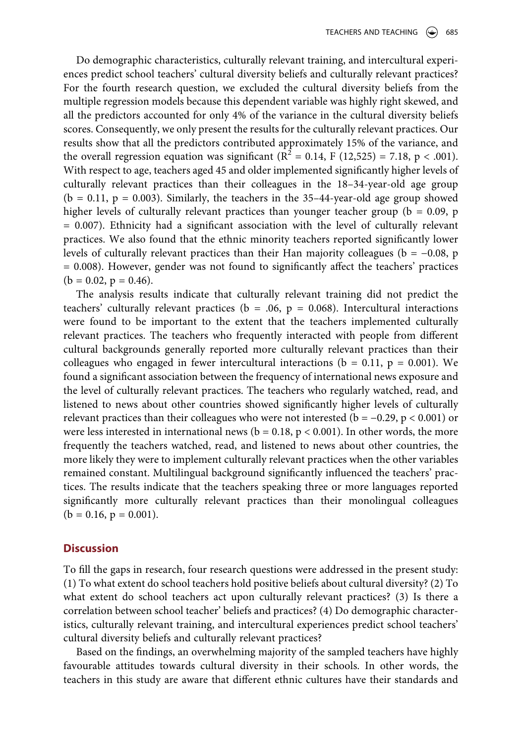Do demographic characteristics, culturally relevant training, and intercultural experiences predict school teachers' cultural diversity beliefs and culturally relevant practices? For the fourth research question, we excluded the cultural diversity beliefs from the multiple regression models because this dependent variable was highly right skewed, and all the predictors accounted for only 4% of the variance in the cultural diversity beliefs scores. Consequently, we only present the results for the culturally relevant practices. Our results show that all the predictors contributed approximately 15% of the variance, and the overall regression equation was significant ( $R^2 = 0.14$ , F (12,525) = 7.18, p < .001). With respect to age, teachers aged 45 and older implemented significantly higher levels of culturally relevant practices than their colleagues in the 18–34-year-old age group  $(b = 0.11, p = 0.003)$ . Similarly, the teachers in the 35-44-year-old age group showed higher levels of culturally relevant practices than younger teacher group ( $b = 0.09$ , p = 0.007). Ethnicity had a significant association with the level of culturally relevant practices. We also found that the ethnic minority teachers reported significantly lower levels of culturally relevant practices than their Han majority colleagues ( $b = -0.08$ , p = 0.008). However, gender was not found to significantly affect the teachers' practices  $(b = 0.02, p = 0.46).$ 

The analysis results indicate that culturally relevant training did not predict the teachers' culturally relevant practices ( $b = .06$ ,  $p = 0.068$ ). Intercultural interactions were found to be important to the extent that the teachers implemented culturally relevant practices. The teachers who frequently interacted with people from different cultural backgrounds generally reported more culturally relevant practices than their colleagues who engaged in fewer intercultural interactions ( $b = 0.11$ ,  $p = 0.001$ ). We found a significant association between the frequency of international news exposure and the level of culturally relevant practices. The teachers who regularly watched, read, and listened to news about other countries showed significantly higher levels of culturally relevant practices than their colleagues who were not interested ( $b = -0.29$ ,  $p < 0.001$ ) or were less interested in international news ( $b = 0.18$ ,  $p < 0.001$ ). In other words, the more frequently the teachers watched, read, and listened to news about other countries, the more likely they were to implement culturally relevant practices when the other variables remained constant. Multilingual background significantly influenced the teachers' practices. The results indicate that the teachers speaking three or more languages reported significantly more culturally relevant practices than their monolingual colleagues  $(b = 0.16, p = 0.001).$ 

# **Discussion**

To fill the gaps in research, four research questions were addressed in the present study: (1) To what extent do school teachers hold positive beliefs about cultural diversity? (2) To what extent do school teachers act upon culturally relevant practices? (3) Is there a correlation between school teacher' beliefs and practices? (4) Do demographic characteristics, culturally relevant training, and intercultural experiences predict school teachers' cultural diversity beliefs and culturally relevant practices?

Based on the findings, an overwhelming majority of the sampled teachers have highly favourable attitudes towards cultural diversity in their schools. In other words, the teachers in this study are aware that different ethnic cultures have their standards and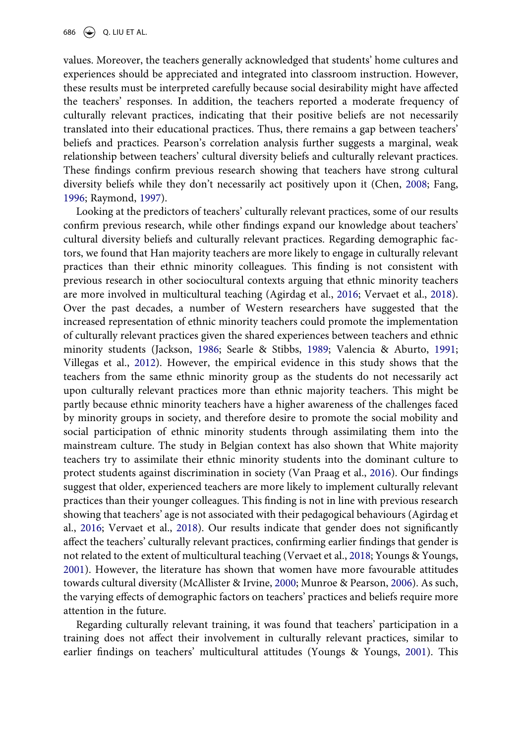values. Moreover, the teachers generally acknowledged that students' home cultures and experiences should be appreciated and integrated into classroom instruction. However, these results must be interpreted carefully because social desirability might have affected the teachers' responses. In addition, the teachers reported a moderate frequency of culturally relevant practices, indicating that their positive beliefs are not necessarily translated into their educational practices. Thus, there remains a gap between teachers' beliefs and practices. Pearson's correlation analysis further suggests a marginal, weak relationship between teachers' cultural diversity beliefs and culturally relevant practices. These findings confirm previous research showing that teachers have strong cultural diversity beliefs while they don't necessarily act positively upon it (Chen, [2008;](#page-20-16) Fang, [1996](#page-20-3); Raymond, [1997](#page-23-17)).

<span id="page-15-5"></span><span id="page-15-2"></span><span id="page-15-1"></span><span id="page-15-0"></span>Looking at the predictors of teachers' culturally relevant practices, some of our results confirm previous research, while other findings expand our knowledge about teachers' cultural diversity beliefs and culturally relevant practices. Regarding demographic factors, we found that Han majority teachers are more likely to engage in culturally relevant practices than their ethnic minority colleagues. This finding is not consistent with previous research in other sociocultural contexts arguing that ethnic minority teachers are more involved in multicultural teaching (Agirdag et al., [2016;](#page-19-2) Vervaet et al., [2018](#page-24-8)). Over the past decades, a number of Western researchers have suggested that the increased representation of ethnic minority teachers could promote the implementation of culturally relevant practices given the shared experiences between teachers and ethnic minority students (Jackson, [1986;](#page-21-16) Searle & Stibbs, [1989](#page-23-18); Valencia & Aburto, [1991;](#page-24-9) Villegas et al., [2012](#page-24-10)). However, the empirical evidence in this study shows that the teachers from the same ethnic minority group as the students do not necessarily act upon culturally relevant practices more than ethnic majority teachers. This might be partly because ethnic minority teachers have a higher awareness of the challenges faced by minority groups in society, and therefore desire to promote the social mobility and social participation of ethnic minority students through assimilating them into the mainstream culture. The study in Belgian context has also shown that White majority teachers try to assimilate their ethnic minority students into the dominant culture to protect students against discrimination in society (Van Praag et al., [2016\)](#page-24-11). Our findings suggest that older, experienced teachers are more likely to implement culturally relevant practices than their younger colleagues. This finding is not in line with previous research showing that teachers' age is not associated with their pedagogical behaviours (Agirdag et al., [2016](#page-19-2); Vervaet et al., [2018\)](#page-24-8). Our results indicate that gender does not significantly affect the teachers' culturally relevant practices, confirming earlier findings that gender is not related to the extent of multicultural teaching (Vervaet et al., [2018](#page-24-8); Youngs & Youngs, [2001](#page-24-2)). However, the literature has shown that women have more favourable attitudes towards cultural diversity (McAllister & Irvine, [2000;](#page-22-12) Munroe & Pearson, [2006\)](#page-22-13). As such, the varying effects of demographic factors on teachers' practices and beliefs require more attention in the future.

<span id="page-15-4"></span><span id="page-15-3"></span>Regarding culturally relevant training, it was found that teachers' participation in a training does not affect their involvement in culturally relevant practices, similar to earlier findings on teachers' multicultural attitudes (Youngs & Youngs, [2001](#page-24-2)). This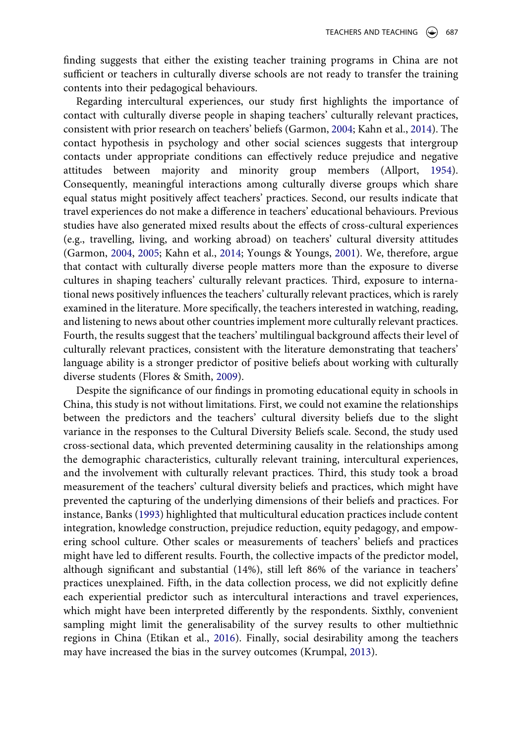finding suggests that either the existing teacher training programs in China are not sufficient or teachers in culturally diverse schools are not ready to transfer the training contents into their pedagogical behaviours.

<span id="page-16-0"></span>Regarding intercultural experiences, our study first highlights the importance of contact with culturally diverse people in shaping teachers' culturally relevant practices, consistent with prior research on teachers' beliefs (Garmon, [2004;](#page-21-11) Kahn et al., [2014](#page-21-15)). The contact hypothesis in psychology and other social sciences suggests that intergroup contacts under appropriate conditions can effectively reduce prejudice and negative attitudes between majority and minority group members (Allport, [1954](#page-19-12)). Consequently, meaningful interactions among culturally diverse groups which share equal status might positively affect teachers' practices. Second, our results indicate that travel experiences do not make a difference in teachers' educational behaviours. Previous studies have also generated mixed results about the effects of cross-cultural experiences (e.g., travelling, living, and working abroad) on teachers' cultural diversity attitudes (Garmon, [2004,](#page-21-11) [2005;](#page-21-12) Kahn et al., [2014;](#page-21-15) Youngs & Youngs, [2001\)](#page-24-2). We, therefore, argue that contact with culturally diverse people matters more than the exposure to diverse cultures in shaping teachers' culturally relevant practices. Third, exposure to international news positively influences the teachers' culturally relevant practices, which is rarely examined in the literature. More specifically, the teachers interested in watching, reading, and listening to news about other countries implement more culturally relevant practices. Fourth, the results suggest that the teachers' multilingual background affects their level of culturally relevant practices, consistent with the literature demonstrating that teachers' language ability is a stronger predictor of positive beliefs about working with culturally diverse students (Flores & Smith, [2009\)](#page-21-13).

<span id="page-16-2"></span><span id="page-16-1"></span>Despite the significance of our findings in promoting educational equity in schools in China, this study is not without limitations. First, we could not examine the relationships between the predictors and the teachers' cultural diversity beliefs due to the slight variance in the responses to the Cultural Diversity Beliefs scale. Second, the study used cross-sectional data, which prevented determining causality in the relationships among the demographic characteristics, culturally relevant training, intercultural experiences, and the involvement with culturally relevant practices. Third, this study took a broad measurement of the teachers' cultural diversity beliefs and practices, which might have prevented the capturing of the underlying dimensions of their beliefs and practices. For instance, Banks [\(1993](#page-19-1)) highlighted that multicultural education practices include content integration, knowledge construction, prejudice reduction, equity pedagogy, and empowering school culture. Other scales or measurements of teachers' beliefs and practices might have led to different results. Fourth, the collective impacts of the predictor model, although significant and substantial (14%), still left 86% of the variance in teachers' practices unexplained. Fifth, in the data collection process, we did not explicitly define each experiential predictor such as intercultural interactions and travel experiences, which might have been interpreted differently by the respondents. Sixthly, convenient sampling might limit the generalisability of the survey results to other multiethnic regions in China (Etikan et al., [2016](#page-20-17)). Finally, social desirability among the teachers may have increased the bias in the survey outcomes (Krumpal, [2013\)](#page-22-18).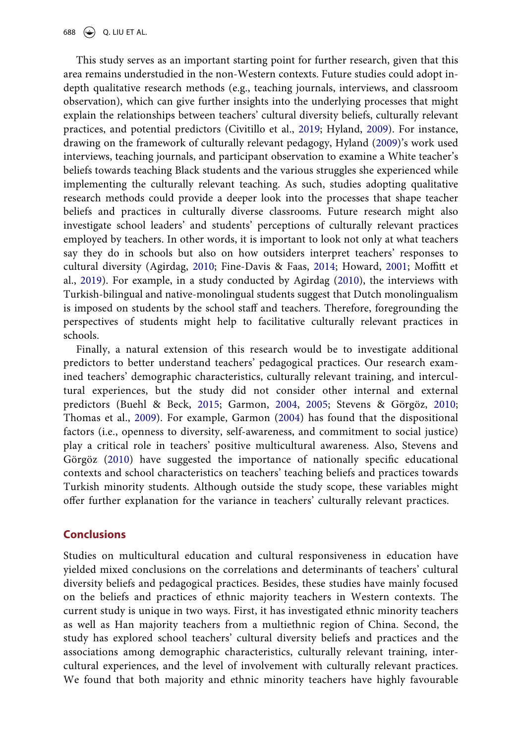<span id="page-17-2"></span>This study serves as an important starting point for further research, given that this area remains understudied in the non-Western contexts. Future studies could adopt indepth qualitative research methods (e.g., teaching journals, interviews, and classroom observation), which can give further insights into the underlying processes that might explain the relationships between teachers' cultural diversity beliefs, culturally relevant practices, and potential predictors (Civitillo et al., [2019](#page-20-2); Hyland, [2009\)](#page-21-17). For instance, drawing on the framework of culturally relevant pedagogy, Hyland [\(2009\)](#page-21-17)'s work used interviews, teaching journals, and participant observation to examine a White teacher's beliefs towards teaching Black students and the various struggles she experienced while implementing the culturally relevant teaching. As such, studies adopting qualitative research methods could provide a deeper look into the processes that shape teacher beliefs and practices in culturally diverse classrooms. Future research might also investigate school leaders' and students' perceptions of culturally relevant practices employed by teachers. In other words, it is important to look not only at what teachers say they do in schools but also on how outsiders interpret teachers' responses to cultural diversity (Agirdag, [2010;](#page-19-13) Fine-Davis & Faas, [2014;](#page-20-18) Howard, [2001](#page-21-18); Moffitt et al., [2019](#page-22-19)). For example, in a study conducted by Agirdag [\(2010\)](#page-19-13), the interviews with Turkish-bilingual and native-monolingual students suggest that Dutch monolingualism is imposed on students by the school staff and teachers. Therefore, foregrounding the perspectives of students might help to facilitative culturally relevant practices in schools.

<span id="page-17-4"></span><span id="page-17-1"></span><span id="page-17-0"></span>Finally, a natural extension of this research would be to investigate additional predictors to better understand teachers' pedagogical practices. Our research examined teachers' demographic characteristics, culturally relevant training, and intercultural experiences, but the study did not consider other internal and external predictors (Buehl & Beck, [2015](#page-19-5); Garmon, [2004](#page-21-11), [2005;](#page-21-12) Stevens & Görgöz, [2010;](#page-23-19) Thomas et al., [2009\)](#page-24-12). For example, Garmon [\(2004\)](#page-21-11) has found that the dispositional factors (i.e., openness to diversity, self-awareness, and commitment to social justice) play a critical role in teachers' positive multicultural awareness. Also, Stevens and Görgöz ([2010](#page-23-19)) have suggested the importance of nationally specific educational contexts and school characteristics on teachers' teaching beliefs and practices towards Turkish minority students. Although outside the study scope, these variables might offer further explanation for the variance in teachers' culturally relevant practices.

# <span id="page-17-3"></span>**Conclusions**

Studies on multicultural education and cultural responsiveness in education have yielded mixed conclusions on the correlations and determinants of teachers' cultural diversity beliefs and pedagogical practices. Besides, these studies have mainly focused on the beliefs and practices of ethnic majority teachers in Western contexts. The current study is unique in two ways. First, it has investigated ethnic minority teachers as well as Han majority teachers from a multiethnic region of China. Second, the study has explored school teachers' cultural diversity beliefs and practices and the associations among demographic characteristics, culturally relevant training, intercultural experiences, and the level of involvement with culturally relevant practices. We found that both majority and ethnic minority teachers have highly favourable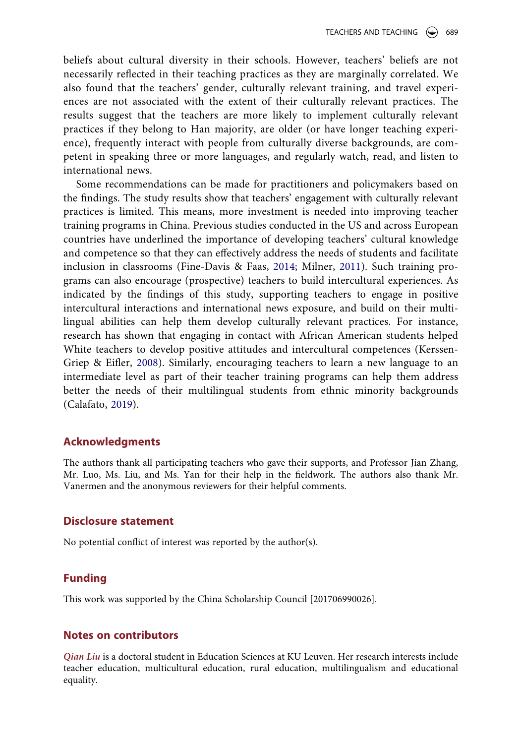beliefs about cultural diversity in their schools. However, teachers' beliefs are not necessarily reflected in their teaching practices as they are marginally correlated. We also found that the teachers' gender, culturally relevant training, and travel experiences are not associated with the extent of their culturally relevant practices. The results suggest that the teachers are more likely to implement culturally relevant practices if they belong to Han majority, are older (or have longer teaching experience), frequently interact with people from culturally diverse backgrounds, are competent in speaking three or more languages, and regularly watch, read, and listen to international news.

<span id="page-18-2"></span>Some recommendations can be made for practitioners and policymakers based on the findings. The study results show that teachers' engagement with culturally relevant practices is limited. This means, more investment is needed into improving teacher training programs in China. Previous studies conducted in the US and across European countries have underlined the importance of developing teachers' cultural knowledge and competence so that they can effectively address the needs of students and facilitate inclusion in classrooms (Fine-Davis & Faas, [2014;](#page-20-18) Milner, [2011](#page-22-20)). Such training programs can also encourage (prospective) teachers to build intercultural experiences. As indicated by the findings of this study, supporting teachers to engage in positive intercultural interactions and international news exposure, and build on their multilingual abilities can help them develop culturally relevant practices. For instance, research has shown that engaging in contact with African American students helped White teachers to develop positive attitudes and intercultural competences (Kerssen-Griep & Eifler, [2008\)](#page-21-19). Similarly, encouraging teachers to learn a new language to an intermediate level as part of their teacher training programs can help them address better the needs of their multilingual students from ethnic minority backgrounds (Calafato, [2019](#page-20-19)).

# <span id="page-18-1"></span><span id="page-18-0"></span>**Acknowledgments**

The authors thank all participating teachers who gave their supports, and Professor Jian Zhang, Mr. Luo, Ms. Liu, and Ms. Yan for their help in the fieldwork. The authors also thank Mr. Vanermen and the anonymous reviewers for their helpful comments.

# **Disclosure statement**

No potential conflict of interest was reported by the author(s).

# **Funding**

This work was supported by the China Scholarship Council [201706990026].

## **Notes on contributors**

*Qian Liu* is a doctoral student in Education Sciences at KU Leuven. Her research interests include teacher education, multicultural education, rural education, multilingualism and educational equality.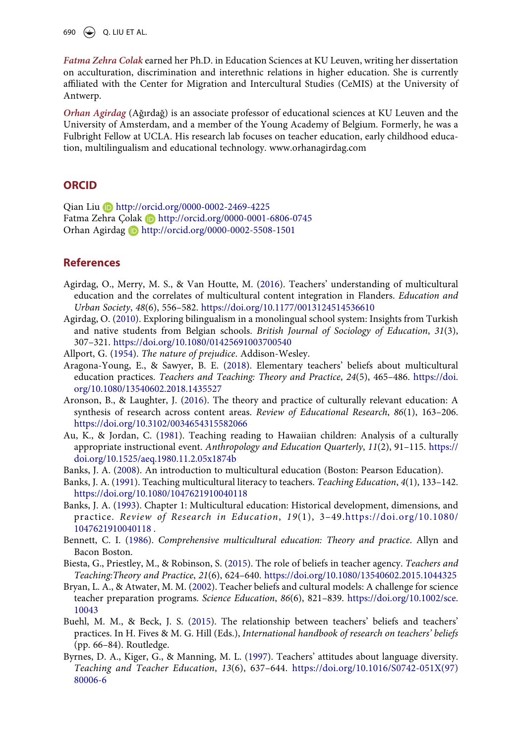690 Q. LIU ET AL.

*Fatma Zehra Colak* earned her Ph.D. in Education Sciences at KU Leuven, writing her dissertation on acculturation, discrimination and interethnic relations in higher education. She is currently affiliated with the Center for Migration and Intercultural Studies (CeMIS) at the University of Antwerp.

*Orhan Agirdag* (Ağırdağ) is an associate professor of educational sciences at KU Leuven and the University of Amsterdam, and a member of the Young Academy of Belgium. Formerly, he was a Fulbright Fellow at UCLA. His research lab focuses on teacher education, early childhood education, multilingualism and educational technology. www.orhanagirdag.com

### **ORCID**

Qian Liu http://orcid.org/0000-0002-2469-4225 Fatma Zehra Colak D http://orcid.org/0000-0001-6806-0745 Orhan Agirdag http://orcid.org/0000-0002-5508-1501

# **References**

- <span id="page-19-2"></span>Agirdag, O., Merry, M. S., & Van Houtte, M. [\(2016](#page-2-0)). Teachers' understanding of multicultural education and the correlates of multicultural content integration in Flanders. *Education and Urban Society*, *48*(6), 556–582. <https://doi.org/10.1177/0013124514536610>
- <span id="page-19-13"></span>Agirdag, O. ([2010\)](#page-17-0). Exploring bilingualism in a monolingual school system: Insights from Turkish and native students from Belgian schools. *British Journal of Sociology of Education*, *31*(3), 307–321. <https://doi.org/10.1080/01425691003700540>
- <span id="page-19-12"></span>Allport, G. [\(1954\)](#page-16-0). *The nature of prejudice*. Addison-Wesley.
- <span id="page-19-6"></span>Aragona-Young, E., & Sawyer, B. E. [\(2018\)](#page-3-0). Elementary teachers' beliefs about multicultural education practices. *Teachers and Teaching: Theory and Practice*, *24*(5), 465–486. [https://doi.](https://doi.org/10.1080/13540602.2018.1435527) [org/10.1080/13540602.2018.1435527](https://doi.org/10.1080/13540602.2018.1435527)
- <span id="page-19-10"></span>Aronson, B., & Laughter, J. [\(2016](#page-5-0)). The theory and practice of culturally relevant education: A synthesis of research across content areas. *Review of Educational Research*, *86*(1), 163–206. <https://doi.org/10.3102/0034654315582066>
- <span id="page-19-0"></span>Au, K., & Jordan, C. ([1981](#page-1-2)). Teaching reading to Hawaiian children: Analysis of a culturally appropriate instructional event. *Anthropology and Education Quarterly*, *11*(2), 91–115. [https://](https://doi.org/10.1525/aeq.1980.11.2.05x1874b) [doi.org/10.1525/aeq.1980.11.2.05x1874b](https://doi.org/10.1525/aeq.1980.11.2.05x1874b)
- <span id="page-19-9"></span>Banks, J. A. ([2008\)](#page-5-1). An introduction to multicultural education (Boston: Pearson Education).
- <span id="page-19-7"></span>Banks, J. A. ([1991](#page-4-0)). Teaching multicultural literacy to teachers. *Teaching Education*, *4*(1), 133–142. <https://doi.org/10.1080/1047621910040118>
- <span id="page-19-1"></span>Banks, J. A. [\(1993\)](#page-1-2). Chapter 1: Multicultural education: Historical development, dimensions, and practice. *Review of Research in Education*, *19*(1), 3–49.[https://doi.org/10.1080/](https://doi.org/10.1080/1047621910040118)  [1047621910040118](https://doi.org/10.1080/1047621910040118) .
- <span id="page-19-8"></span>Bennett, C. I. ([1986\)](#page-4-0). *Comprehensive multicultural education: Theory and practice*. Allyn and Bacon Boston.
- <span id="page-19-3"></span>Biesta, G., Priestley, M., & Robinson, S. ([2015\)](#page-3-1). The role of beliefs in teacher agency. *Teachers and Teaching:Theory and Practice*, *21*(6), 624–640. <https://doi.org/10.1080/13540602.2015.1044325>
- <span id="page-19-4"></span>Bryan, L. A., & Atwater, M. M. ([2002\)](#page-3-2). Teacher beliefs and cultural models: A challenge for science teacher preparation programs. *Science Education*, *86*(6), 821–839. [https://doi.org/10.1002/sce.](https://doi.org/10.1002/sce.10043) [10043](https://doi.org/10.1002/sce.10043)
- <span id="page-19-5"></span>Buehl, M. M., & Beck, J. S. [\(2015](#page-3-3)). The relationship between teachers' beliefs and teachers' practices. In H. Fives & M. G. Hill (Eds.), *International handbook of research on teachers' beliefs*  (pp. 66–84). Routledge.
- <span id="page-19-11"></span>Byrnes, D. A., Kiger, G., & Manning, M. L. ([1997\)](#page-6-0). Teachers' attitudes about language diversity. *Teaching and Teacher Education*, *13*(6), 637–644. [https://doi.org/10.1016/S0742-051X\(97\)](https://doi.org/10.1016/S0742-051X(97)80006-6) [80006-6](https://doi.org/10.1016/S0742-051X(97)80006-6)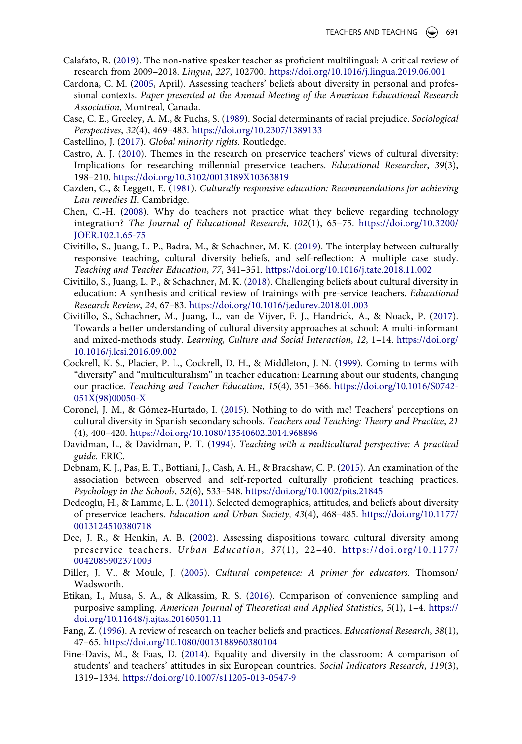- <span id="page-20-19"></span>Calafato, R. [\(2019](#page-18-0)). The non-native speaker teacher as proficient multilingual: A critical review of research from 2009–2018. *Lingua*, *227*, 102700. <https://doi.org/10.1016/j.lingua.2019.06.001>
- <span id="page-20-10"></span>Cardona, C. M. ([2005](#page-4-1), April). Assessing teachers' beliefs about diversity in personal and professional contexts. *Paper presented at the Annual Meeting of the American Educational Research Association*, Montreal, Canada.
- <span id="page-20-12"></span>Case, C. E., Greeley, A. M., & Fuchs, S. ([1989](#page-5-2)). Social determinants of racial prejudice. *Sociological Perspectives*, *32*(4), 469–483. <https://doi.org/10.2307/1389133>
- <span id="page-20-6"></span>Castellino, J. [\(2017\)](#page-2-1). *Global minority rights*. Routledge.
- <span id="page-20-4"></span>Castro, A. J. ([2010](#page-2-2)). Themes in the research on preservice teachers' views of cultural diversity: Implications for researching millennial preservice teachers. *Educational Researcher*, *39*(3), 198–210. <https://doi.org/10.3102/0013189X10363819>
- <span id="page-20-1"></span>Cazden, C., & Leggett, E. [\(1981\)](#page-1-2). *Culturally responsive education: Recommendations for achieving Lau remedies II*. Cambridge.
- <span id="page-20-16"></span>Chen, C.-H. [\(2008](#page-15-0)). Why do teachers not practice what they believe regarding technology integration? *The Journal of Educational Research*, *102*(1), 65–75. [https://doi.org/10.3200/](https://doi.org/10.3200/JOER.102.1.65-75) [JOER.102.1.65-75](https://doi.org/10.3200/JOER.102.1.65-75)
- <span id="page-20-2"></span>Civitillo, S., Juang, L. P., Badra, M., & Schachner, M. K. ([2019\)](#page-2-3). The interplay between culturally responsive teaching, cultural diversity beliefs, and self-reflection: A multiple case study. *Teaching and Teacher Education*, *77*, 341–351. <https://doi.org/10.1016/j.tate.2018.11.002>
- <span id="page-20-7"></span>Civitillo, S., Juang, L. P., & Schachner, M. K. ([2018](#page-3-0)). Challenging beliefs about cultural diversity in education: A synthesis and critical review of trainings with pre-service teachers. *Educational Research Review*, *24*, 67–83. <https://doi.org/10.1016/j.edurev.2018.01.003>
- <span id="page-20-0"></span>Civitillo, S., Schachner, M., Juang, L., van de Vijver, F. J., Handrick, A., & Noack, P. [\(2017\)](#page-1-3). Towards a better understanding of cultural diversity approaches at school: A multi-informant and mixed-methods study. *Learning, Culture and Social Interaction*, *12*, 1–14. [https://doi.org/](https://doi.org/10.1016/j.lcsi.2016.09.002) [10.1016/j.lcsi.2016.09.002](https://doi.org/10.1016/j.lcsi.2016.09.002)
- <span id="page-20-15"></span>Cockrell, K. S., Placier, P. L., Cockrell, D. H., & Middleton, J. N. ([1999\)](#page-6-1). Coming to terms with "diversity" and "multiculturalism" in teacher education: Learning about our students, changing our practice. *Teaching and Teacher Education*, *15*(4), 351–366. [https://doi.org/10.1016/S0742-](https://doi.org/10.1016/S0742-051X(98)00050-X) [051X\(98\)00050-X](https://doi.org/10.1016/S0742-051X(98)00050-X)
- <span id="page-20-8"></span>Coronel, J. M., & Gómez-Hurtado, I. ([2015](#page-3-4)). Nothing to do with me! Teachers' perceptions on cultural diversity in Spanish secondary schools. *Teachers and Teaching: Theory and Practice*, *21*  (4), 400–420. <https://doi.org/10.1080/13540602.2014.968896>
- <span id="page-20-11"></span>Davidman, L., & Davidman, P. T. [\(1994\)](#page-5-3). *Teaching with a multicultural perspective: A practical guide*. ERIC.
- <span id="page-20-5"></span>Debnam, K. J., Pas, E. T., Bottiani, J., Cash, A. H., & Bradshaw, C. P. [\(2015](#page-2-4)). An examination of the association between observed and self-reported culturally proficient teaching practices. *Psychology in the Schools*, *52*(6), 533–548. <https://doi.org/10.1002/pits.21845>
- <span id="page-20-14"></span>Dedeoglu, H., & Lamme, L. L. [\(2011](#page-5-4)). Selected demographics, attitudes, and beliefs about diversity of preservice teachers. *Education and Urban Society*, *43*(4), 468–485. [https://doi.org/10.1177/](https://doi.org/10.1177/0013124510380718) [0013124510380718](https://doi.org/10.1177/0013124510380718)
- <span id="page-20-9"></span>Dee, J. R., & Henkin, A. B. [\(2002\)](#page-4-2). Assessing dispositions toward cultural diversity among preservice teachers. *Urban Education*, *37*(1), 22–40. [https://doi.org/10.1177/](https://doi.org/10.1177/0042085902371003)  [0042085902371003](https://doi.org/10.1177/0042085902371003)
- <span id="page-20-13"></span>Diller, J. V., & Moule, J. [\(2005\)](#page-5-2). *Cultural competence: A primer for educators*. Thomson/ Wadsworth.
- <span id="page-20-17"></span>Etikan, I., Musa, S. A., & Alkassim, R. S. ([2016](#page-16-1)). Comparison of convenience sampling and purposive sampling. *American Journal of Theoretical and Applied Statistics*, *5*(1), 1–4. [https://](https://doi.org/10.11648/j.ajtas.20160501.11) [doi.org/10.11648/j.ajtas.20160501.11](https://doi.org/10.11648/j.ajtas.20160501.11)
- <span id="page-20-3"></span>Fang, Z. ([1996\)](#page-2-3). A review of research on teacher beliefs and practices. *Educational Research*, *38*(1), 47–65. <https://doi.org/10.1080/0013188960380104>
- <span id="page-20-18"></span>Fine-Davis, M., & Faas, D. ([2014](#page-17-1)). Equality and diversity in the classroom: A comparison of students' and teachers' attitudes in six European countries. *Social Indicators Research*, *119*(3), 1319–1334. <https://doi.org/10.1007/s11205-013-0547-9>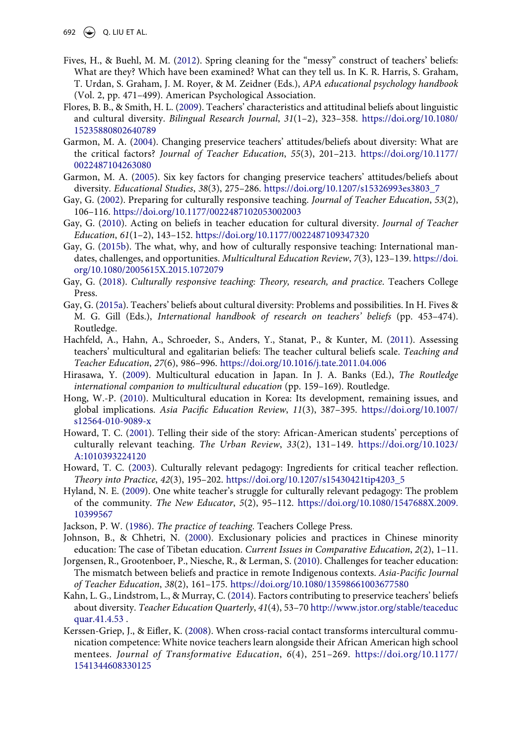692 Q. LIU ET AL.

- <span id="page-21-4"></span>Fives, H., & Buehl, M. M. [\(2012\)](#page-3-5). Spring cleaning for the "messy" construct of teachers' beliefs: What are they? Which have been examined? What can they tell us. In K. R. Harris, S. Graham, T. Urdan, S. Graham, J. M. Royer, & M. Zeidner (Eds.), *APA educational psychology handbook*  (Vol. 2, pp. 471–499). American Psychological Association.
- <span id="page-21-13"></span>Flores, B. B., & Smith, H. L. [\(2009](#page-6-2)). Teachers' characteristics and attitudinal beliefs about linguistic and cultural diversity. *Bilingual Research Journal*, *31*(1–2), 323–358. [https://doi.org/10.1080/](https://doi.org/10.1080/15235880802640789) [15235880802640789](https://doi.org/10.1080/15235880802640789)
- <span id="page-21-11"></span>Garmon, M. A. [\(2004](#page-5-5)). Changing preservice teachers' attitudes/beliefs about diversity: What are the critical factors? *Journal of Teacher Education*, *55*(3), 201–213. [https://doi.org/10.1177/](https://doi.org/10.1177/0022487104263080) [0022487104263080](https://doi.org/10.1177/0022487104263080)
- <span id="page-21-12"></span>Garmon, M. A. ([2005\)](#page-5-5). Six key factors for changing preservice teachers' attitudes/beliefs about diversity. *Educational Studies*, *38*(3), 275–286. [https://doi.org/10.1207/s15326993es3803\\_7](https://doi.org/10.1207/s15326993es3803_7)
- <span id="page-21-0"></span>Gay, G. ([2002](#page-1-2)). Preparing for culturally responsive teaching. *Journal of Teacher Education*, *53*(2), 106–116. <https://doi.org/10.1177/0022487102053002003>
- <span id="page-21-6"></span>Gay, G. [\(2010\)](#page-3-4). Acting on beliefs in teacher education for cultural diversity. *Journal of Teacher Education*, *61*(1–2), 143–152. <https://doi.org/10.1177/0022487109347320>
- <span id="page-21-10"></span>Gay, G. ([2015b\)](#page-5-6). The what, why, and how of culturally responsive teaching: International mandates, challenges, and opportunities. *Multicultural Education Review*, *7*(3), 123–139. [https://doi.](https://doi.org/10.1080/2005615X.2015.1072079) [org/10.1080/2005615X.2015.1072079](https://doi.org/10.1080/2005615X.2015.1072079)
- <span id="page-21-1"></span>Gay, G. ([2018\)](#page-1-4). *Culturally responsive teaching: Theory, research, and practice*. Teachers College Press.
- <span id="page-21-8"></span>Gay, G. ([2015a](#page-4-3)). Teachers' beliefs about cultural diversity: Problems and possibilities. In H. Fives & M. G. Gill (Eds.), *International handbook of research on teachers' beliefs* (pp. 453–474). Routledge.
- <span id="page-21-7"></span>Hachfeld, A., Hahn, A., Schroeder, S., Anders, Y., Stanat, P., & Kunter, M. ([2011](#page-4-4)). Assessing teachers' multicultural and egalitarian beliefs: The teacher cultural beliefs scale. *Teaching and Teacher Education*, *27*(6), 986–996. <https://doi.org/10.1016/j.tate.2011.04.006>
- <span id="page-21-2"></span>Hirasawa, Y. ([2009](#page-2-5)). Multicultural education in Japan. In J. A. Banks (Ed.), *The Routledge international companion to multicultural education* (pp. 159–169). Routledge.
- <span id="page-21-3"></span>Hong, W.-P. ([2010\)](#page-2-5). Multicultural education in Korea: Its development, remaining issues, and global implications. *Asia Pacific Education Review*, *11*(3), 387–395. [https://doi.org/10.1007/](https://doi.org/10.1007/s12564-010-9089-x) [s12564-010-9089-x](https://doi.org/10.1007/s12564-010-9089-x)
- <span id="page-21-18"></span>Howard, T. C. [\(2001](#page-17-1)). Telling their side of the story: African-American students' perceptions of culturally relevant teaching. *The Urban Review*, *33*(2), 131–149. [https://doi.org/10.1023/](https://doi.org/10.1023/A:1010393224120) [A:1010393224120](https://doi.org/10.1023/A:1010393224120)
- <span id="page-21-9"></span>Howard, T. C. ([2003\)](#page-4-0). Culturally relevant pedagogy: Ingredients for critical teacher reflection. *Theory into Practice*, *42*(3), 195–202. [https://doi.org/10.1207/s15430421tip4203\\_5](https://doi.org/10.1207/s15430421tip4203_5)
- <span id="page-21-17"></span>Hyland, N. E. [\(2009\)](#page-17-2). One white teacher's struggle for culturally relevant pedagogy: The problem of the community. *The New Educator*, *5*(2), 95–112. [https://doi.org/10.1080/1547688X.2009.](https://doi.org/10.1080/1547688X.2009.10399567) [10399567](https://doi.org/10.1080/1547688X.2009.10399567)
- <span id="page-21-16"></span>Jackson, P. W. ([1986](#page-15-1)). *The practice of teaching*. Teachers College Press.
- <span id="page-21-14"></span>Johnson, B., & Chhetri, N. [\(2000](#page-7-0)). Exclusionary policies and practices in Chinese minority education: The case of Tibetan education. *Current Issues in Comparative Education*, *2*(2), 1–11.
- <span id="page-21-5"></span>Jorgensen, R., Grootenboer, P., Niesche, R., & Lerman, S. ([2010](#page-3-6)). Challenges for teacher education: The mismatch between beliefs and practice in remote Indigenous contexts. *Asia-Pacific Journal of Teacher Education*, *38*(2), 161–175. <https://doi.org/10.1080/13598661003677580>
- <span id="page-21-15"></span>Kahn, L. G., Lindstrom, L., & Murray, C. [\(2014\)](#page-10-0). Factors contributing to preservice teachers' beliefs about diversity. *Teacher Education Quarterly*, *41*(4), 53–70 [http://www.jstor.org/stable/teaceduc](http://www.jstor.org/stable/teaceducquar.41.4.53) [quar.41.4.53](http://www.jstor.org/stable/teaceducquar.41.4.53) .
- <span id="page-21-19"></span>Kerssen-Griep, J., & Eifler, K. [\(2008](#page-18-1)). When cross-racial contact transforms intercultural communication competence: White novice teachers learn alongside their African American high school mentees. *Journal of Transformative Education*, *6*(4), 251–269. [https://doi.org/10.1177/](https://doi.org/10.1177/1541344608330125) [1541344608330125](https://doi.org/10.1177/1541344608330125)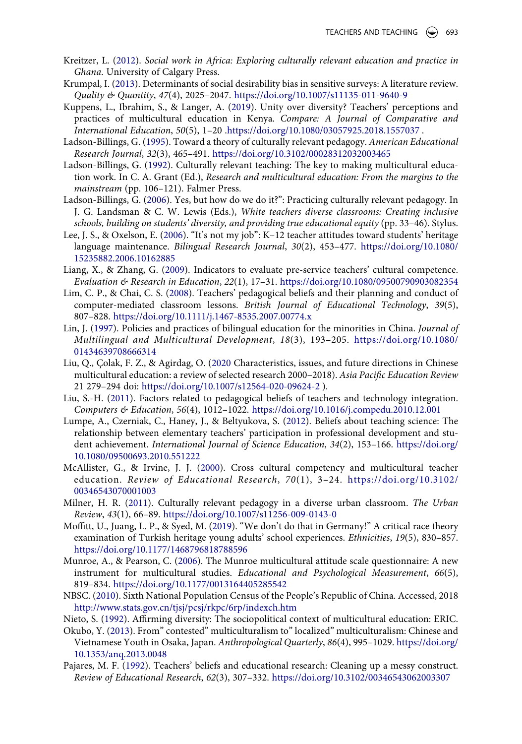- <span id="page-22-9"></span>Kreitzer, L. ([2012](#page-4-0)). *Social work in Africa: Exploring culturally relevant education and practice in Ghana*. University of Calgary Press.
- <span id="page-22-18"></span>Krumpal, I. [\(2013](#page-16-2)). Determinants of social desirability bias in sensitive surveys: A literature review. *Quality & Quantity*, *47*(4), 2025–2047. <https://doi.org/10.1007/s11135-011-9640-9>
- <span id="page-22-2"></span>Kuppens, L., Ibrahim, S., & Langer, A. ([2019](#page-2-6)). Unity over diversity? Teachers' perceptions and practices of multicultural education in Kenya. *Compare: A Journal of Comparative and International Education*, *50*(5), 1–20 .<https://doi.org/10.1080/03057925.2018.1557037>.
- <span id="page-22-1"></span>Ladson-Billings, G. [\(1995](#page-2-7)). Toward a theory of culturally relevant pedagogy. *American Educational Research Journal*, *32*(3), 465–491. <https://doi.org/10.3102/00028312032003465>
- <span id="page-22-0"></span>Ladson-Billings, G. ([1992](#page-1-2)). Culturally relevant teaching: The key to making multicultural education work. In C. A. Grant (Ed.), *Research and multicultural education: From the margins to the mainstream* (pp. 106–121). Falmer Press.
- <span id="page-22-10"></span>Ladson-Billings, G. ([2006](#page-5-7)). Yes, but how do we do it?": Practicing culturally relevant pedagogy. In J. G. Landsman & C. W. Lewis (Eds.), *White teachers diverse classrooms: Creating inclusive schools, building on students' diversity, and providing true educational equity* (pp. 33–46). Stylus.
- <span id="page-22-14"></span>Lee, J. S., & Oxelson, E. ([2006\)](#page-6-2). "It's not my job": K–12 teacher attitudes toward students' heritage language maintenance. *Bilingual Research Journal*, *30*(2), 453–477. [https://doi.org/10.1080/](https://doi.org/10.1080/15235882.2006.10162885) [15235882.2006.10162885](https://doi.org/10.1080/15235882.2006.10162885)
- <span id="page-22-8"></span>Liang, X., & Zhang, G. [\(2009](#page-3-7)). Indicators to evaluate pre-service teachers' cultural competence. *Evaluation & Research in Education*, *22*(1), 17–31. <https://doi.org/10.1080/09500790903082354>
- <span id="page-22-6"></span>Lim, C. P., & Chai, C. S. [\(2008](#page-3-6)). Teachers' pedagogical beliefs and their planning and conduct of computer-mediated classroom lessons. *British Journal of Educational Technology*, *39*(5), 807–828. <https://doi.org/10.1111/j.1467-8535.2007.00774.x>
- <span id="page-22-15"></span>Lin, J. ([1997\)](#page-6-3). Policies and practices of bilingual education for the minorities in China. *Journal of Multilingual and Multicultural Development*, *18*(3), 193–205. [https://doi.org/10.1080/](https://doi.org/10.1080/01434639708666314) [01434639708666314](https://doi.org/10.1080/01434639708666314)
- <span id="page-22-17"></span>Liu, Q., Çolak, F. Z., & Agirdag, O. [\(2020](#page-6-4) Characteristics, issues, and future directions in Chinese multicultural education: a review of selected research 2000–2018). *Asia Pacific Education Review*  21 279–294 doi: <https://doi.org/10.1007/s12564-020-09624-2> ).
- <span id="page-22-7"></span>Liu, S.-H. [\(2011\)](#page-3-6). Factors related to pedagogical beliefs of teachers and technology integration. *Computers & Education*, *56*(4), 1012–1022. <https://doi.org/10.1016/j.compedu.2010.12.001>
- <span id="page-22-5"></span>Lumpe, A., Czerniak, C., Haney, J., & Beltyukova, S. ([2012\)](#page-3-8). Beliefs about teaching science: The relationship between elementary teachers' participation in professional development and student achievement. *International Journal of Science Education*, *34*(2), 153–166. [https://doi.org/](https://doi.org/10.1080/09500693.2010.551222) [10.1080/09500693.2010.551222](https://doi.org/10.1080/09500693.2010.551222)
- <span id="page-22-12"></span>McAllister, G., & Irvine, J. J. ([2000\)](#page-5-8). Cross cultural competency and multicultural teacher education. *Review of Educational Research*, *70*(1), 3–24. [https://doi.org/10.3102/](https://doi.org/10.3102/00346543070001003)  [00346543070001003](https://doi.org/10.3102/00346543070001003)
- <span id="page-22-20"></span>Milner, H. R. [\(2011\)](#page-18-2). Culturally relevant pedagogy in a diverse urban classroom. *The Urban Review*, *43*(1), 66–89. <https://doi.org/10.1007/s11256-009-0143-0>
- <span id="page-22-19"></span>Moffitt, U., Juang, L. P., & Syed, M. ([2019](#page-17-0)). "We don't do that in Germany!" A critical race theory examination of Turkish heritage young adults' school experiences. *Ethnicities*, *19*(5), 830–857. <https://doi.org/10.1177/1468796818788596>
- <span id="page-22-13"></span>Munroe, A., & Pearson, C. [\(2006\)](#page-5-9). The Munroe multicultural attitude scale questionnaire: A new instrument for multicultural studies. *Educational and Psychological Measurement*, *66*(5), 819–834. <https://doi.org/10.1177/0013164405285542>
- <span id="page-22-16"></span>NBSC. ([2010](#page-6-5)). Sixth National Population Census of the People's Republic of China. Accessed, 2018 <http://www.stats.gov.cn/tjsj/pcsj/rkpc/6rp/indexch.htm>
- <span id="page-22-11"></span>Nieto, S. ([1992\)](#page-5-10). Affirming diversity: The sociopolitical context of multicultural education: ERIC.
- <span id="page-22-3"></span>Okubo, Y. [\(2013](#page-2-5)). From" contested" multiculturalism to" localized" multiculturalism: Chinese and Vietnamese Youth in Osaka, Japan. *Anthropological Quarterly*, *86*(4), 995–1029. [https://doi.org/](https://doi.org/10.1353/anq.2013.0048) [10.1353/anq.2013.0048](https://doi.org/10.1353/anq.2013.0048)
- <span id="page-22-4"></span>Pajares, M. F. ([1992](#page-3-1)). Teachers' beliefs and educational research: Cleaning up a messy construct. *Review of Educational Research*, *62*(3), 307–332. <https://doi.org/10.3102/00346543062003307>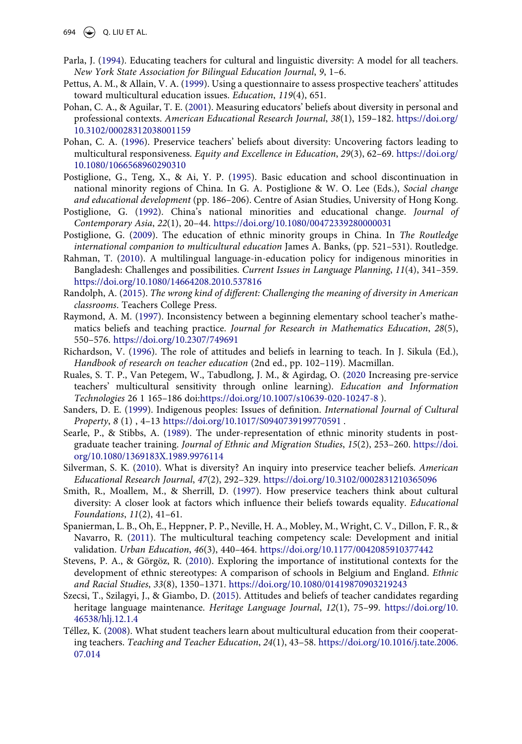694  $\left(\bigstar\right)$  Q. LIU ET AL.

- <span id="page-23-1"></span>Parla, J. [\(1994](#page-1-5)). Educating teachers for cultural and linguistic diversity: A model for all teachers. *New York State Association for Bilingual Education Journal*, *9*, 1–6.
- <span id="page-23-7"></span>Pettus, A. M., & Allain, V. A. [\(1999\)](#page-4-1). Using a questionnaire to assess prospective teachers' attitudes toward multicultural education issues. *Education*, *119*(4), 651.
- <span id="page-23-8"></span>Pohan, C. A., & Aguilar, T. E. [\(2001](#page-4-5)). Measuring educators' beliefs about diversity in personal and professional contexts. *American Educational Research Journal*, *38*(1), 159–182. [https://doi.org/](https://doi.org/10.3102/00028312038001159) [10.3102/00028312038001159](https://doi.org/10.3102/00028312038001159)
- <span id="page-23-11"></span>Pohan, C. A. ([1996](#page-5-5)). Preservice teachers' beliefs about diversity: Uncovering factors leading to multicultural responsiveness. *Equity and Excellence in Education*, *29*(3), 62–69. [https://doi.org/](https://doi.org/10.1080/1066568960290310) [10.1080/1066568960290310](https://doi.org/10.1080/1066568960290310)
- <span id="page-23-14"></span>Postiglione, G., Teng, X., & Ai, Y. P. [\(1995](#page-6-3)). Basic education and school discontinuation in national minority regions of China. In G. A. Postiglione & W. O. Lee (Eds.), *Social change and educational development* (pp. 186–206). Centre of Asian Studies, University of Hong Kong.
- <span id="page-23-15"></span>Postiglione, G. ([1992](#page-6-4)). China's national minorities and educational change. *Journal of Contemporary Asia*, *22*(1), 20–44. <https://doi.org/10.1080/00472339280000031>
- <span id="page-23-16"></span>Postiglione, G. ([2009\)](#page-7-1). The education of ethnic minority groups in China. In *The Routledge international companion to multicultural education* James A. Banks, (pp. 521–531). Routledge.
- <span id="page-23-3"></span>Rahman, T. ([2010](#page-2-8)). A multilingual language-in-education policy for indigenous minorities in Bangladesh: Challenges and possibilities. *Current Issues in Language Planning*, *11*(4), 341–359. <https://doi.org/10.1080/14664208.2010.537816>
- <span id="page-23-0"></span>Randolph, A. [\(2015](#page-1-6)). *The wrong kind of different: Challenging the meaning of diversity in American classrooms*. Teachers College Press.
- <span id="page-23-17"></span>Raymond, A. M. [\(1997](#page-15-2)). Inconsistency between a beginning elementary school teacher's mathematics beliefs and teaching practice. *Journal for Research in Mathematics Education*, *28*(5), 550–576. <https://doi.org/10.2307/749691>
- <span id="page-23-5"></span>Richardson, V. ([1996](#page-3-1)). The role of attitudes and beliefs in learning to teach. In J. Sikula (Ed.), *Handbook of research on teacher education* (2nd ed., pp. 102–119). Macmillan.
- <span id="page-23-2"></span>Ruales, S. T. P., Van Petegem, W., Tabudlong, J. M., & Agirdag, O. [\(2020](#page-2-9) Increasing pre-service teachers' multicultural sensitivity through online learning). *Education and Information Technologies* 26 1 165–186 doi[:https://doi.org/10.1007/s10639-020-10247-8](https://doi.org/10.1007/s10639-020-10247-8) ).
- <span id="page-23-4"></span>Sanders, D. E. [\(1999](#page-2-8)). Indigenous peoples: Issues of definition. *International Journal of Cultural Property*, *8* (1) , 4–13 <https://doi.org/10.1017/S0940739199770591>.
- <span id="page-23-18"></span>Searle, P., & Stibbs, A. ([1989\)](#page-15-1). The under-representation of ethnic minority students in postgraduate teacher training. *Journal of Ethnic and Migration Studies*, *15*(2), 253–260. [https://doi.](https://doi.org/10.1080/1369183X.1989.9976114) [org/10.1080/1369183X.1989.9976114](https://doi.org/10.1080/1369183X.1989.9976114)
- <span id="page-23-9"></span>Silverman, S. K. ([2010](#page-4-6)). What is diversity? An inquiry into preservice teacher beliefs. *American Educational Research Journal*, *47*(2), 292–329. <https://doi.org/10.3102/0002831210365096>
- <span id="page-23-12"></span>Smith, R., Moallem, M., & Sherrill, D. ([1997\)](#page-6-6). How preservice teachers think about cultural diversity: A closer look at factors which influence their beliefs towards equality. *Educational Foundations*, *11*(2), 41–61.
- <span id="page-23-6"></span>Spanierman, L. B., Oh, E., Heppner, P. P., Neville, H. A., Mobley, M., Wright, C. V., Dillon, F. R., & Navarro, R. ([2011\)](#page-3-9). The multicultural teaching competency scale: Development and initial validation. *Urban Education*, *46*(3), 440–464. <https://doi.org/10.1177/0042085910377442>
- <span id="page-23-19"></span>Stevens, P. A., & Görgöz, R. ([2010\)](#page-17-3). Exploring the importance of institutional contexts for the development of ethnic stereotypes: A comparison of schools in Belgium and England. *Ethnic and Racial Studies*, *33*(8), 1350–1371. <https://doi.org/10.1080/01419870903219243>
- <span id="page-23-13"></span>Szecsi, T., Szilagyi, J., & Giambo, D. [\(2015\)](#page-6-7). Attitudes and beliefs of teacher candidates regarding heritage language maintenance. *Heritage Language Journal*, *12*(1), 75–99. [https://doi.org/10.](https://doi.org/10.46538/hlj.12.1.4) [46538/hlj.12.1.4](https://doi.org/10.46538/hlj.12.1.4)
- <span id="page-23-10"></span>Téllez, K. ([2008\)](#page-5-2). What student teachers learn about multicultural education from their cooperating teachers. *Teaching and Teacher Education*, *24*(1), 43–58. [https://doi.org/10.1016/j.tate.2006.](https://doi.org/10.1016/j.tate.2006.07.014) [07.014](https://doi.org/10.1016/j.tate.2006.07.014)